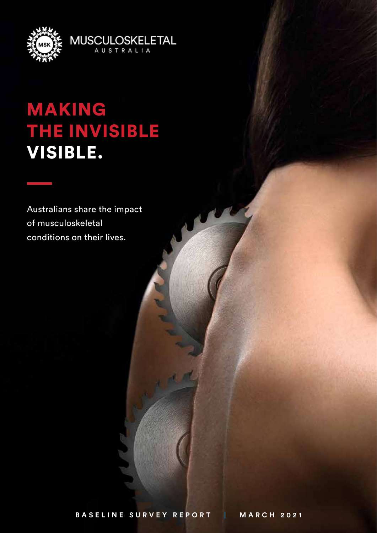

# MAKING THE INVISIBLE VISIBLE.

**MUSCULOSKELETAL** AUSTRALIA

Australians share the impact of musculoskeletal conditions on their lives.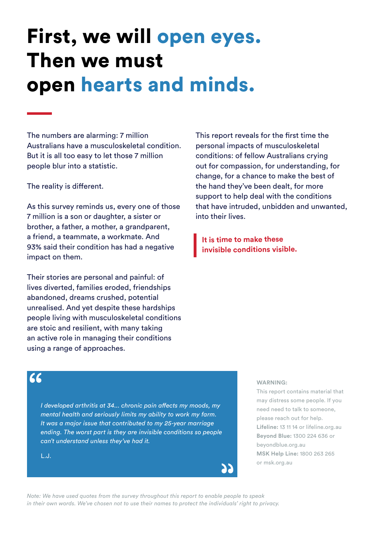# First, we will open eyes. Then we must open hearts and minds.

The numbers are alarming: 7 million Australians have a musculoskeletal condition. But it is all too easy to let those 7 million people blur into a statistic.

The reality is different.

As this survey reminds us, every one of those 7 million is a son or daughter, a sister or brother, a father, a mother, a grandparent, a friend, a teammate, a workmate. And 93% said their condition has had a negative impact on them.

Their stories are personal and painful: of lives diverted, families eroded, friendships abandoned, dreams crushed, potential unrealised. And yet despite these hardships people living with musculoskeletal conditions are stoic and resilient, with many taking an active role in managing their conditions using a range of approaches.

This report reveals for the first time the personal impacts of musculoskeletal conditions: of fellow Australians crying out for compassion, for understanding, for change, for a chance to make the best of the hand they've been dealt, for more support to help deal with the conditions that have intruded, unbidden and unwanted, into their lives.

**It is time to make these invisible conditions visible.**

#### ረረ

*I developed arthritis at 34... chronic pain affects my moods, my mental health and seriously limits my ability to work my farm. It was a major issue that contributed to my 25-year marriage ending. The worst part is they are invisible conditions so people can't understand unless they've had it.*

L.J.

#### **WARNING:**

This report contains material that may distress some people. If you need need to talk to someone, please reach out for help. **Lifeline:** 13 11 14 or lifeline.org.au **Beyond Blue:** 1300 224 636 or beyondblue.org.au **MSK Help Line:** 1800 263 265 or msk.org.au

*Note: We have used quotes from the survey throughout this report to enable people to speak in their own words. We've chosen not to use their names to protect the individuals' right to privacy.*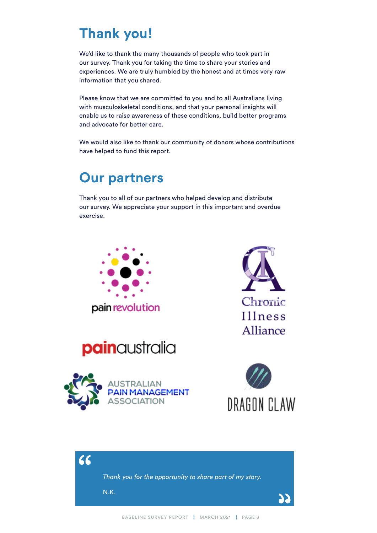# **Thank you!**

We'd like to thank the many thousands of people who took part in our survey. Thank you for taking the time to share your stories and experiences. We are truly humbled by the honest and at times very raw information that you shared.

Please know that we are committed to you and to all Australians living with musculoskeletal conditions, and that your personal insights will enable us to raise awareness of these conditions, build better programs and advocate for better care.

We would also like to thank our community of donors whose contributions have helped to fund this report.

### **Our partners**

Thank you to all of our partners who helped develop and distribute our survey. We appreciate your support in this important and overdue exercise.











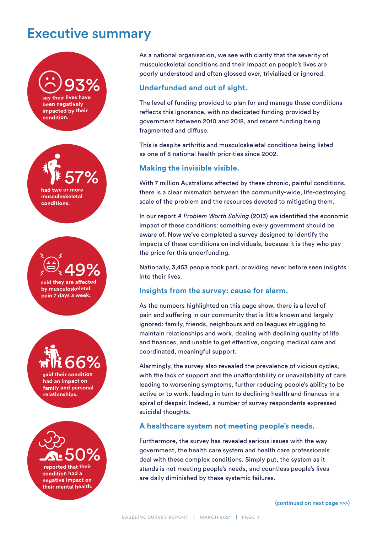### Executive summary



As a national organisation, we see with clarity that the severity of musculoskeletal conditions and their impact on people's lives are poorly understood and often glossed over, trivialised or ignored.

#### **Underfunded and out of sight.**

The level of funding provided to plan for and manage these conditions reflects this ignorance, with no dedicated funding provided by government between 2010 and 2018, and recent funding being fragmented and diffuse.

This is despite arthritis and musculoskeletal conditions being listed as one of 8 national health priorities since 2002.

#### **Making the invisible visible.**

With 7 million Australians affected by these chronic, painful conditions, there is a clear mismatch between the community-wide, life-destroying scale of the problem and the resources devoted to mitigating them.

In our report *A Problem Worth Solving* (2013) we identified the economic impact of these conditions: something every government should be aware of. Now we've completed a survey designed to identify the impacts of these conditions on individuals, because it is they who pay the price for this underfunding.

Nationally, 3,453 people took part, providing never before seen insights into their lives.

#### **Insights from the survey: cause for alarm.**

As the numbers highlighted on this page show, there is a level of pain and suffering in our community that is little known and largely ignored: family, friends, neighbours and colleagues struggling to maintain relationships and work, dealing with declining quality of life and finances, and unable to get effective, ongoing medical care and coordinated, meaningful support.

Alarmingly, the survey also revealed the prevalence of vicious cycles, with the lack of support and the unaffordability or unavailability of care leading to worsening symptoms, further reducing people's ability to be active or to work, leading in turn to declining health and finances in a spiral of despair. Indeed, a number of survey respondents expressed suicidal thoughts.

#### **A healthcare system not meeting people's needs.**

Furthermore, the survey has revealed serious issues with the way government, the health care system and health care professionals deal with these complex conditions. Simply put, the system as it stands is not meeting people's needs, and countless people's lives are daily diminished by these systemic failures.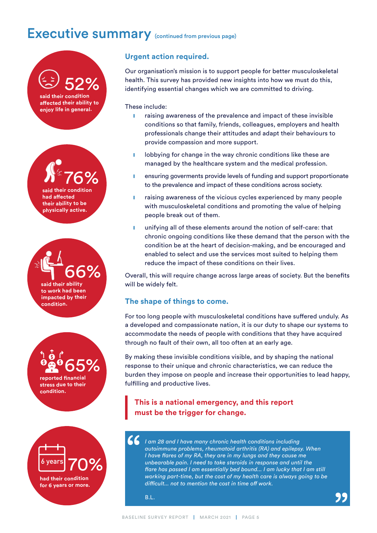# Executive summary (continued from previous page)



#### **Urgent action required.**

Our organisation's mission is to support people for better musculoskeletal health. This survey has provided new insights into how we must do this, identifying essential changes which we are committed to driving.

These include:

- **I** raising awareness of the prevalence and impact of these invisible conditions so that family, friends, colleagues, employers and health professionals change their attitudes and adapt their behaviours to provide compassion and more support.
- **I** lobbying for change in the way chronic conditions like these are managed by the healthcare system and the medical profession.
- ensuring goverments provide levels of funding and support proportionate to the prevalence and impact of these conditions across society.
- **I** raising awareness of the vicious cycles experienced by many people with musculoskeletal conditions and promoting the value of helping people break out of them.
- **I** unifying all of these elements around the notion of self-care: that chronic ongoing conditions like these demand that the person with the condition be at the heart of decision-making, and be encouraged and enabled to select and use the services most suited to helping them reduce the impact of these conditions on their lives.

Overall, this will require change across large areas of society. But the benefits will be widely felt.

#### **The shape of things to come.**

For too long people with musculoskeletal conditions have suffered unduly. As a developed and compassionate nation, it is our duty to shape our systems to accommodate the needs of people with conditions that they have acquired through no fault of their own, all too often at an early age.

By making these invisible conditions visible, and by shaping the national response to their unique and chronic characteristics, we can reduce the burden they impose on people and increase their opportunities to lead happy, fulfilling and productive lives.

#### **This is a national emergency, and this report must be the trigger for change.**

*I am 28 and I have many chronic health conditions including autoimmune problems, rheumatoid arthritis (RA) and epilepsy. When I have flares of my RA, they are in my lungs and they cause me unbearable pain. I need to take steroids in response and until the flare has passed I am essentially bed bound... I am lucky that I am still working part-time, but the cost of my health care is always going to be difficult... not to mention the cost in time off work.*

B.L.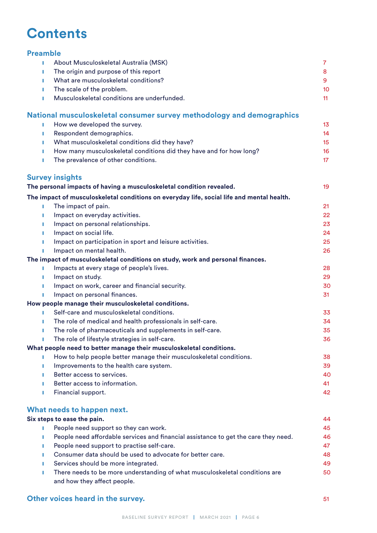## **Contents**

#### **Preamble**

| т | About Musculoskeletal Australia (MSK)                                                     | $\overline{7}$  |
|---|-------------------------------------------------------------------------------------------|-----------------|
| п | The origin and purpose of this report                                                     | 8               |
| ٠ | What are musculoskeletal conditions?                                                      | 9               |
| П | The scale of the problem.                                                                 | 10              |
|   | Musculoskeletal conditions are underfunded.                                               | 11              |
|   | National musculoskeletal consumer survey methodology and demographics                     |                 |
|   | How we developed the survey.                                                              | 13              |
| п | Respondent demographics.                                                                  | 14              |
| п | What musculoskeletal conditions did they have?                                            | 15              |
|   | How many musculoskeletal conditions did they have and for how long?                       | 16              |
| п | The prevalence of other conditions.                                                       | 17 <sup>2</sup> |
|   | <b>Survey insights</b>                                                                    |                 |
|   | The personal impacts of having a musculoskeletal condition revealed.                      | 19              |
|   | The impact of musculoskeletal conditions on everyday life, social life and mental health. |                 |
|   | The impact of pain.                                                                       | 21              |
| П | Impact on everyday activities.                                                            | 22              |
|   | Impact on personal relationships.                                                         | 23              |
|   | Impact on social life.                                                                    | 24              |
|   | Impact on participation in sport and leisure activities.                                  | 25              |
|   | Impact on mental health.                                                                  | 26              |
|   | The impact of musculoskeletal conditions on study, work and personal finances.            |                 |
| П | Impacts at every stage of people's lives.                                                 | 28              |
| п | Impact on study.                                                                          | 29              |
| п | Impact on work, career and financial security.                                            | 30              |
| п | Impact on personal finances.                                                              | 31              |
|   | How people manage their musculoskeletal conditions.                                       |                 |
|   | Self-care and musculoskeletal conditions.                                                 | 33              |
| п | The role of medical and health professionals in self-care.                                | 34              |
|   | The role of pharmaceuticals and supplements in self-care.                                 | 35              |
|   | The role of lifestyle strategies in self-care.                                            | 36              |
|   | What people need to better manage their musculoskeletal conditions.                       |                 |
|   | How to help people better manage their musculoskeletal conditions.                        | 38              |
|   | Improvements to the health care system.                                                   | 39              |
|   | Better access to services.                                                                | 40              |
|   | Better access to information.                                                             | 41              |
|   | Financial support.                                                                        | 42              |
|   | What needs to happen next.                                                                |                 |

#### **Six steps to ease the pain.** 44 **I** People need support so they can work. 45

| <b>I CODIC HEED SUPPORTSO THEY CALL WORK.</b>                                       | ∽⊷ |
|-------------------------------------------------------------------------------------|----|
| People need affordable services and financial assistance to get the care they need. | 46 |
| People need support to practise self-care.                                          | 47 |
| Consumer data should be used to advocate for better care.                           | 48 |
| Services should be more integrated.                                                 | 49 |
| There needs to be more understanding of what musculoskeletal conditions are         | 50 |
| and how they affect people.                                                         |    |

#### **Other voices heard in the survey. 51**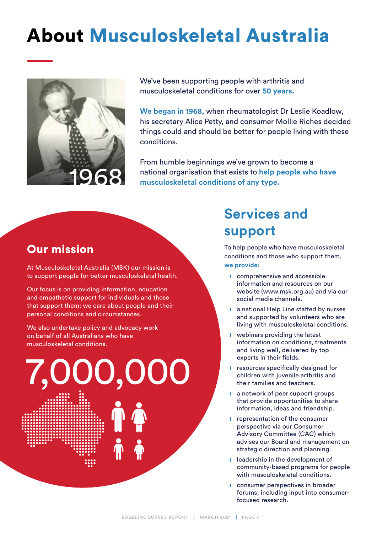# About Musculoskeletal Australia



We've been supporting people with arthritis and musculoskeletal conditions for over **50 years.** 

**We began in 1968,** when rheumatologist Dr Leslie Koadlow, his secretary Alice Petty, and consumer Mollie Riches decided things could and should be better for people living with these conditions.

From humble beginnings we've grown to become a national organisation that exists to **help people who have musculoskeletal conditions of any type.** 

#### Our mission

At Musculoskeletal Australia (MSK) our mission is to support people for better musculoskeletal health.

Our focus is on providing information, education and empathetic support for individuals and those that support them: we care about people and their personal conditions and circumstances.

We also undertake policy and advocacy work on behalf of all Australians who have musculoskeletal conditions.

7,000,000

# **Services and support**

To help people who have musculoskeletal conditions and those who support them, **we provide:**

- **■** comprehensive and accessible information and resources on our website (www.msk.org.au) and via our social media channels.
- **■** a national Help Line staffed by nurses and supported by volunteers who are living with musculoskeletal conditions.
- **■** webinars providing the latest information on conditions, treatments and living well, delivered by top experts in their fields.
- resources specifically designed for children with juvenile arthritis and their families and teachers.
- **l** a network of peer support groups that provide opportunities to share information, ideas and friendship.
- **I** representation of the consumer perspective via our Consumer Advisory Committee (CAC) which advises our Board and management on strategic direction and planning.
- **I** leadership in the development of community-based programs for people with musculoskeletal conditions.
- **■** consumer perspectives in broader forums, including input into consumerfocused research.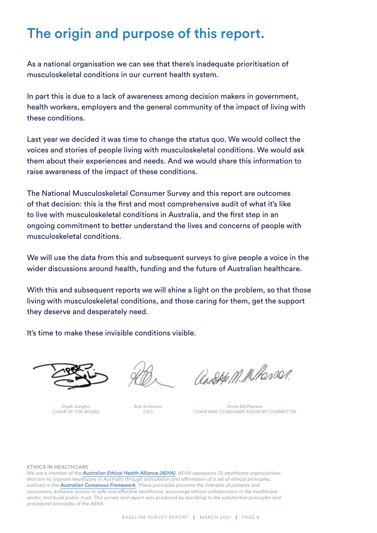# The origin and purpose of this report.

As a national organisation we can see that there's inadequate prioritisation of musculoskeletal conditions in our current health system.

In part this is due to a lack of awareness among decision makers in government, health workers, employers and the general community of the impact of living with these conditions.

Last year we decided it was time to change the status quo. We would collect the voices and stories of people living with musculoskeletal conditions. We would ask them about their experiences and needs. And we would share this information to raise awareness of the impact of these conditions.

The National Musculoskeletal Consumer Survey and this report are outcomes of that decision: this is the first and most comprehensive audit of what it's like to live with musculoskeletal conditions in Australia, and the first step in an ongoing commitment to better understand the lives and concerns of people with musculoskeletal conditions.

We will use the data from this and subsequent surveys to give people a voice in the wider discussions around health, funding and the future of Australian healthcare.

With this and subsequent reports we will shine a light on the problem, so that those living with musculoskeletal conditions, and those caring for them, get the support they deserve and desperately need.

It's time to make these invisible conditions visible.



Dipak Sanghvi CHAIR OF THE BOARD

Rob Anderson CEO

andere M. M. Hansen.

Annie McPherson CHAIR MSK CONSUMER ADVISORY COMMITTEE

#### **ETHICS IN HEALTHCARE**

*We are a member of the [Australian Ethical Health Alliance \(AEHA\)](https://www.ethicalhealth.org.au/). AEHA represents 72 healthcare organisations that aim to improve healthcare in Australia through articulation and affirmation of a set of ethical principles, outlined in the [Australian Consensus Framework](http://www.ethicalhealth.org.au/acf). These principles promote the interests of patients and consumers, enhance access to safe and effective healthcare, encourage ethical collaboration in the healthcare*  sector, and build public trust. This survey and report was produced by ascribing to the substantive principles and *procedural principles of the AEHA.*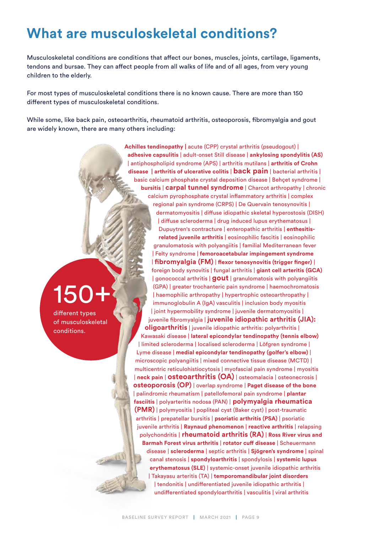# **What are musculoskeletal conditions?**

Musculoskeletal conditions are conditions that affect our bones, muscles, joints, cartilage, ligaments, tendons and bursae. They can affect people from all walks of life and of all ages, from very young children to the elderly.

For most types of musculoskeletal conditions there is no known cause. There are more than 150 different types of musculoskeletal conditions.

While some, like back pain, osteoarthritis, rheumatoid arthritis, osteoporosis, fibromyalgia and gout are widely known, there are many others including:

# 150+

different types of musculoskeletal conditions.

**Achilles tendinopathy |** acute (CPP) crystal arthritis (pseudogout) | **adhesive capsulitis** | adult-onset Still disease | **ankylosing spondylitis (AS)** | antiphospholipid syndrome (APS) | arthritis mutilans | **arthritis of Crohn disease | arthritis of ulcerative colitis** | **back pain** | bacterial arthritis | basic calcium phosphate crystal deposition disease | Behçet syndrome | **bursitis** | **carpal tunnel syndrome** | Charcot arthropathy | chronic calcium pyrophosphate crystal inflammatory arthritis | complex regional pain syndrome (CRPS) | De Quervain tenosynovitis | dermatomyositis | diffuse idiopathic skeletal hyperostosis (DISH) | diffuse scleroderma | drug induced lupus erythematosus | Dupuytren's contracture | enteropathic arthritis | **enthesitisrelated juvenile arthritis** | eosinophilic fascitis | eosinophilic granulomatosis with polyangiitis | familial Mediterranean fever | Felty syndrome | **femoroacetabular impingement syndrome** | **fibromyalgia (FM)** | **flexor tenosynovitis (trigger finger)** | foreign body synovitis | fungal arthritis | **giant cell arteritis (GCA)** | gonococcal arthritis | **gout** | granulomatosis with polyangiitis (GPA) | greater trochanteric pain syndrome | haemochromatosis | haemophilic arthropathy | hypertrophic osteoarthropathy | immunoglobulin A (IgA) vasculitis | inclusion body myositis | joint hypermobility syndrome | juvenile dermatomyositis | juvenile fibromyalgia | **juvenile idiopathic arthritis (JIA): oligoarthritis** | juvenile idiopathic arthritis: polyarthritis | Kawasaki disease | **lateral epicondylar tendinopathy (tennis elbow)** | limited scleroderma | localised scleroderma | Löfgren syndrome | Lyme disease | **medial epicondylar tendinopathy (golfer's elbow)** | microscopic polyangiitis | mixed connective tissue disease (MCTD) | multicentric reticulohistiocytosis | myofascial pain syndrome | myositis | **neck pain** | **osteoarthritis (OA)** | osteomalacia | osteonecrosis | **osteoporosis (OP)** | overlap syndrome | **Paget disease of the bone** | palindromic rheumatism | patellofemoral pain syndrome | **plantar fasciitis** | polyarteritis nodosa (PAN) | **polymyalgia rheumatica (PMR)** | polymyositis | popliteal cyst (Baker cyst) | post-traumatic arthritis | prepatellar bursitis | **psoriatic arthritis (PSA)** | psoriatic juvenile arthritis | **Raynaud phenomenon** | **reactive arthritis** | relapsing polychondritis | **rheumatoid arthritis (RA)** | **Ross River virus and Barmah Forest virus arthritis** | **rotator cuff disease** | Scheuermann disease | **scleroderma** | septic arthritis | **Sjögren's syndrome** | spinal canal stenosis | **spondyloarthritis** | spondylosis | **systemic lupus erythematosus (SLE)** | systemic-onset juvenile idiopathic arthritis | Takayasu arteritis (TA) | **temporomandibular joint disorders** | tendonitis | undifferentiated juvenile idiopathic arthritis | undifferentiated spondyloarthritis | vasculitis | viral arthritis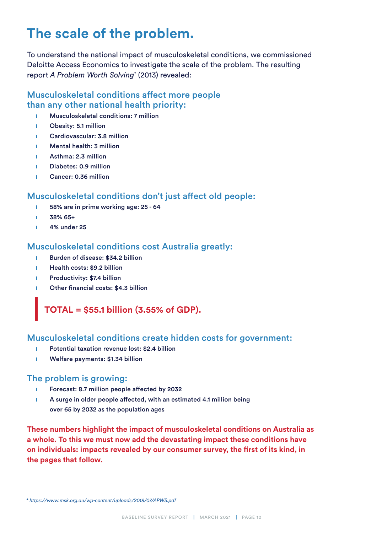# **The scale of the problem.**

To understand the national impact of musculoskeletal conditions, we commissioned Deloitte Access Economics to investigate the scale of the problem. The resulting report *A Problem Worth Solving*\* (2013) revealed:

#### Musculoskeletal conditions affect more people than any other national health priority:

- ❙ Musculoskeletal conditions: 7 million
- **I** Obesity: 5.1 million
- ❙ Cardiovascular: 3.8 million
- **I** Mental health: 3 million
- ❙ Asthma: 2.3 million
- **I** Diabetes: 0.9 million
- Cancer: 0.36 million

#### Musculoskeletal conditions don't just affect old people:

- ❙ 58% are in prime working age: 25 64
- $1, 38\%$  65+
- ❙ 4% under 25

#### Musculoskeletal conditions cost Australia greatly:

- **I** Burden of disease: \$34.2 billion
- **I** Health costs: \$9.2 billion
- **I** Productivity: \$7.4 billion
- Other financial costs: \$4.3 billion

#### **TOTAL = \$55.1 billion (3.55% of GDP).**

#### Musculoskeletal conditions create hidden costs for government:

- Potential taxation revenue lost: \$2.4 billion
- Welfare payments: \$1.34 billion

#### The problem is growing:

- ❙ Forecast: 8.7 million people affected by 2032
- **EXECT** A surge in older people affected, with an estimated 4.1 million being over 65 by 2032 as the population ages

**These numbers highlight the impact of musculoskeletal conditions on Australia as a whole. To this we must now add the devastating impact these conditions have on individuals: impacts revealed by our consumer survey, the first of its kind, in the pages that follow.**

*[<sup>\\*</sup> https://www.msk.org.au/wp-content/uploads/2018/07/APWS.pdf](https://www.msk.org.au/wp-content/uploads/2018/07/APWS.pdf)*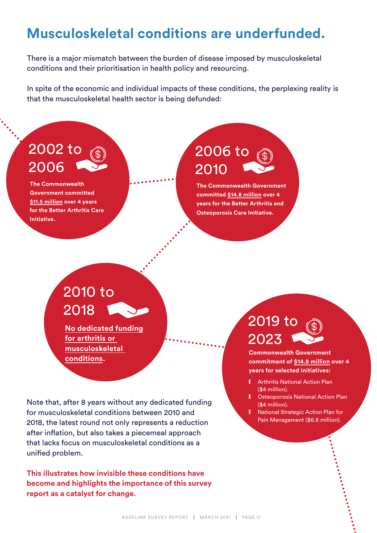# **Musculoskeletal conditions are underfunded.**

There is a major mismatch between the burden of disease imposed by musculoskeletal conditions and their prioritisation in health policy and resourcing.

In spite of the economic and individual impacts of these conditions, the perplexing reality is that the musculoskeletal health sector is being defunded:

## 2002 to 2006

**The Commonwealth Government committed \$11.5 million over 4 years for the Better Arthritis Care Initiative.**

# 2006 to 2010

**The Commonwealth Government committed \$14.8 million over 4 years for the Better Arthritis and Osteoporosis Care Initiative.**

# 2010 to 2018

**No dedicated funding for arthritis or musculoskeletal conditions.**

Note that, after 8 years without any dedicated funding for musculoskeletal conditions between 2010 and 2018, the latest round not only represents a reduction after inflation, but also takes a piecemeal approach that lacks focus on musculoskeletal conditions as a unified problem.

**This illustrates how invisible these conditions have become and highlights the importance of this survey report as a catalyst for change.**

# 2019 to 2023

**Commonwealth Government commitment of \$14.8 million over 4 years for selected initiatives:** 

- ❙ [Arthritis National Action Plan](https://www.health.gov.au/resources/publications/national-strategic-action-plan-for-arthritis)  (\$4 million).
- **I** Osteoporosis National Action Plan (\$4 million).
- **National Strategic Action Plan for** [Pain Management](https://www.health.gov.au/ministers/the-hon-greg-hunt-mp/media/supporting-people-with-chronic-pain-to-access-services) (\$6.8 million).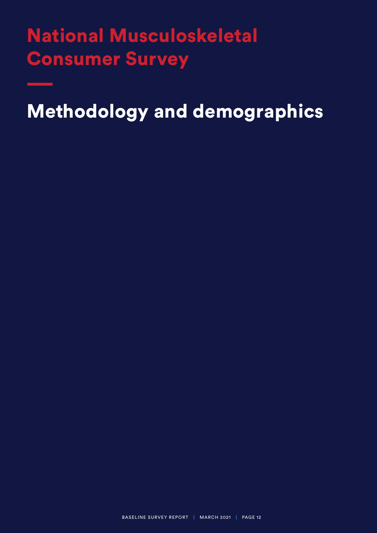# National Musculoskeletal Consumer Survey

Methodology and demographics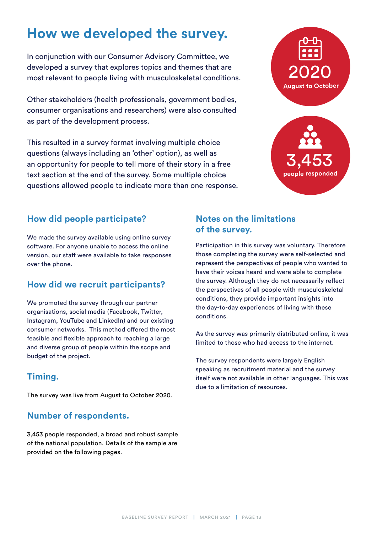# **How we developed the survey.**

In conjunction with our Consumer Advisory Committee, we developed a survey that explores topics and themes that are most relevant to people living with musculoskeletal conditions.

Other stakeholders (health professionals, government bodies, consumer organisations and researchers) were also consulted as part of the development process.

This resulted in a survey format involving multiple choice questions (always including an 'other' option), as well as an opportunity for people to tell more of their story in a free text section at the end of the survey. Some multiple choice questions allowed people to indicate more than one response.



#### **How did people participate?**

We made the survey available using online survey software. For anyone unable to access the online version, our staff were available to take responses over the phone.

#### **How did we recruit participants?**

We promoted the survey through our partner organisations, social media (Facebook, Twitter, Instagram, YouTube and LinkedIn) and our existing consumer networks. This method offered the most feasible and flexible approach to reaching a large and diverse group of people within the scope and budget of the project.

#### **Timing.**

The survey was live from August to October 2020.

#### **Number of respondents.**

3,453 people responded, a broad and robust sample of the national population. Details of the sample are provided on the following pages.

#### **Notes on the limitations of the survey.**

Participation in this survey was voluntary. Therefore those completing the survey were self-selected and represent the perspectives of people who wanted to have their voices heard and were able to complete the survey. Although they do not necessarily reflect the perspectives of all people with musculoskeletal conditions, they provide important insights into the day-to-day experiences of living with these conditions.

As the survey was primarily distributed online, it was limited to those who had access to the internet.

The survey respondents were largely English speaking as recruitment material and the survey itself were not available in other languages. This was due to a limitation of resources.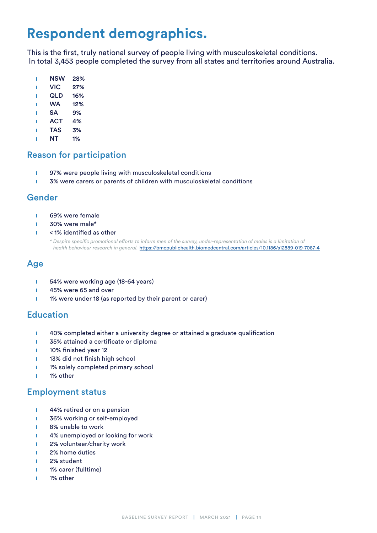# **Respondent demographics.**

This is the first, truly national survey of people living with musculoskeletal conditions. In total 3,453 people completed the survey from all states and territories around Australia.

- **I** NSW 28%
- ❙ VIC 27%
- ❙ QLD 16%
- ❙ WA 12%
- ❙ SA 9%
- ❙ ACT 4%
- ❙ TAS 3%
- **I** NT 1%

#### Reason for participation

- **I** 97% were people living with musculoskeletal conditions
- **i** 3% were carers or parents of children with musculoskeletal conditions

#### Gender

- **I** 69% were female
- 30% were male\*
- < 1% identified as other

 *\* Despite specific promotional efforts to inform men of the survey, under-representation of males is a limitation of health behaviour research in general.* [https://bmcpublichealth.biomedcentral.com/articles/10.1186/s12889-019-7087-4](https://bmcpublichealth.biomedcentral.com/articles/10.1186/s12889-019-7087-4
)

#### Age

- **i** 54% were working age (18-64 years)
- **I** 45% were 65 and over
- **1** 1% were under 18 (as reported by their parent or carer)

#### Education

- **i** 40% completed either a university degree or attained a graduate qualification
- **1** 35% attained a certificate or diploma
- **1** 10% finished year 12
- **1** 13% did not finish high school
- **I** 1% solely completed primary school
- ❙ 1% other

#### Employment status

- **1** 44% retired or on a pension
- **i** 36% working or self-employed
- **I** 8% unable to work
- **i** 4% unemployed or looking for work
- **1** 2% volunteer/charity work
- ❙ 2% home duties
- ❙ 2% student
- **1** 1% carer (fulltime)
- ❙ 1% other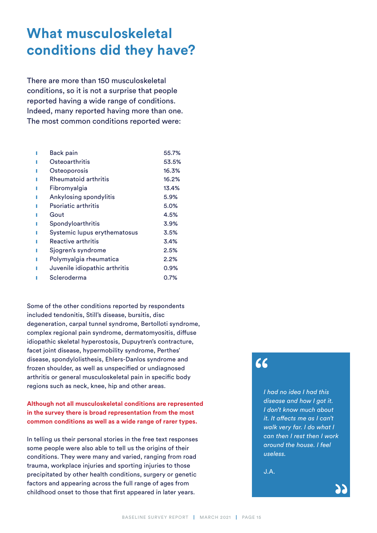# **What musculoskeletal conditions did they have?**

There are more than 150 musculoskeletal conditions, so it is not a surprise that people reported having a wide range of conditions. Indeed, many reported having more than one. The most common conditions reported were:

| <b>Back pain</b>              | 55.7%   |
|-------------------------------|---------|
| Osteoarthritis                | 53.5%   |
| Osteoporosis                  | 16.3%   |
| Rheumatoid arthritis          | 16.2%   |
| Fibromyalgia                  | 13.4%   |
| Ankylosing spondylitis        | 5.9%    |
| <b>Psoriatic arthritis</b>    | 5.0%    |
| Gout                          | 4.5%    |
| Spondyloarthritis             | 3.9%    |
| Systemic lupus erythematosus  | 3.5%    |
| Reactive arthritis            | 3.4%    |
| Sjogren's syndrome            | 2.5%    |
| Polymyalgia rheumatica        | 2.2%    |
| Juvenile idiopathic arthritis | 0.9%    |
| Scleroderma                   | $0.7\%$ |
|                               |         |

Some of the other conditions reported by respondents included tendonitis, Still's disease, bursitis, disc degeneration, carpal tunnel syndrome, Bertolloti syndrome, complex regional pain syndrome, dermatomyositis, diffuse idiopathic skeletal hyperostosis, Dupuytren's contracture, facet joint disease, hypermobility syndrome, Perthes' disease, spondylolisthesis, Ehlers-Danlos syndrome and frozen shoulder, as well as unspecified or undiagnosed arthritis or general musculoskeletal pain in specific body regions such as neck, knee, hip and other areas.

#### **Although not all musculoskeletal conditions are represented in the survey there is broad representation from the most common conditions as well as a wide range of rarer types.**

In telling us their personal stories in the free text responses some people were also able to tell us the origins of their conditions. They were many and varied, ranging from road trauma, workplace injuries and sporting injuries to those precipitated by other health conditions, surgery or genetic factors and appearing across the full range of ages from childhood onset to those that first appeared in later years.

### $66$

*I had no idea I had this disease and how I got it. I don't know much about it. It affects me as I can't walk very far. I do what I can then I rest then I work around the house. I feel useless.*

J.A.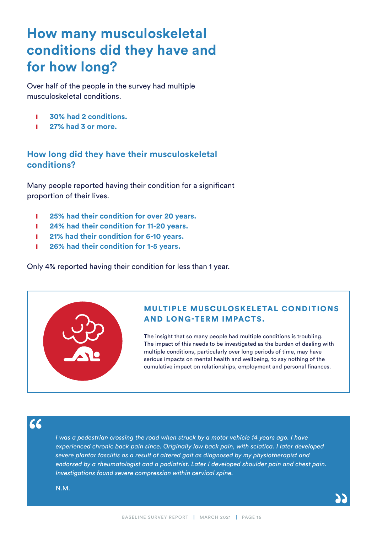# **How many musculoskeletal conditions did they have and for how long?**

Over half of the people in the survey had multiple musculoskeletal conditions.

- ❙ **30% had 2 conditions.**
- ❙ **27% had 3 or more.**

#### **How long did they have their musculoskeletal conditions?**

Many people reported having their condition for a significant proportion of their lives.

- ❙ **25% had their condition for over 20 years.**
- ❙ **24% had their condition for 11-20 years.**
- ❙ **21% had their condition for 6-10 years.**
- ❙ **26% had their condition for 1-5 years.**

Only 4% reported having their condition for less than 1 year.

#### **MULTIPLE MUSCULOSKELETAL CONDITIONS** AND LONG-TERM IMPACTS.

The insight that so many people had multiple conditions is troubling. The impact of this needs to be investigated as the burden of dealing with multiple conditions, particularly over long periods of time, may have serious impacts on mental health and wellbeing, to say nothing of the cumulative impact on relationships, employment and personal finances.

 $66$ 

*I* was a pedestrian crossing the road when struck by a motor vehicle 14 years ago. I have *experienced chronic back pain since. Originally low back pain, with sciatica. I later developed severe plantar fasciitis as a result of altered gait as diagnosed by my physiotherapist and endorsed by a rheumatologist and a podiatrist. Later I developed shoulder pain and chest pain. Investigations found severe compression within cervical spine.*

N.M.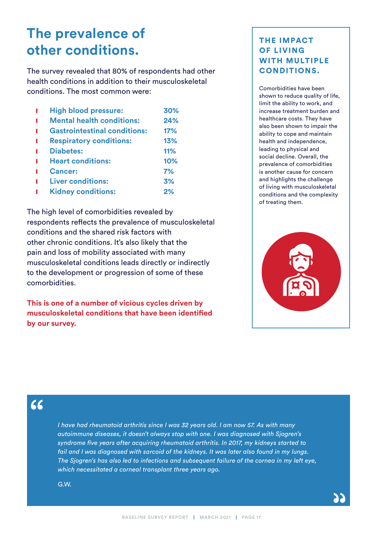# **The prevalence of other conditions.**

The survey revealed that 80% of respondents had other health conditions in addition to their musculoskeletal conditions. The most common were:

| <b>High blood pressure:</b>         | 30% |
|-------------------------------------|-----|
| <b>Mental health conditions:</b>    | 24% |
| <b>Gastrointestinal conditions:</b> | 17% |
| <b>Respiratory conditions:</b>      | 13% |
| <b>Diabetes:</b>                    | 11% |
| <b>Heart conditions:</b>            | 10% |
| <b>Cancer:</b>                      | 7%  |
| <b>Liver conditions:</b>            | 3%  |
| <b>Kidney conditions:</b>           | 2%  |

The high level of comorbidities revealed by respondents reflects the prevalence of musculoskeletal conditions and the shared risk factors with other chronic conditions. It's also likely that the pain and loss of mobility associated with many musculoskeletal conditions leads directly or indirectly to the development or progression of some of these comorbidities.

**This is one of a number of vicious cycles driven by musculoskeletal conditions that have been identified by our survey.** 

#### THE IMPACT OF LIVING WITH MULTIPLE CONDITIONS.

Comorbidities have been shown to reduce quality of life, limit the ability to work, and increase treatment burden and healthcare costs. They have also been shown to impair the ability to cope and maintain health and independence, leading to physical and social decline. Overall, the prevalence of comorbidities is another cause for concern and highlights the challenge of living with musculoskeletal conditions and the complexity of treating them.



### 66

*I have had rheumatoid arthritis since I was 32 years old. I am now 57. As with many autoimmune diseases, it doesn't always stop with one. I was diagnosed with Sjogren's syndrome five years after acquiring rheumatoid arthritis. In 2017, my kidneys started to fail and I was diagnosed with sarcoid of the kidneys. It was later also found in my lungs. The Sjogren's has also led to infections and subsequent failure of the cornea in my left eye, which necessitated a corneal transplant three years ago.*

G.W.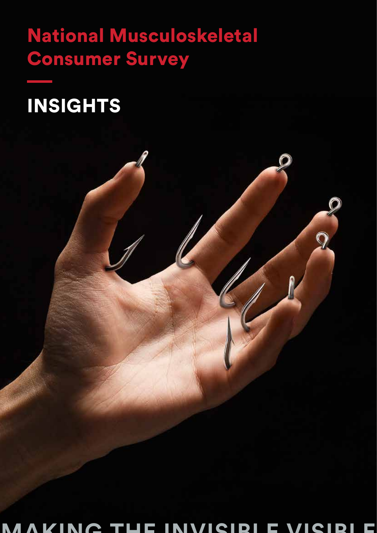# National Musculoskeletal Consumer Survey



**MAKING THE INVISIBLE VISIBLE**

 $\overline{Q}$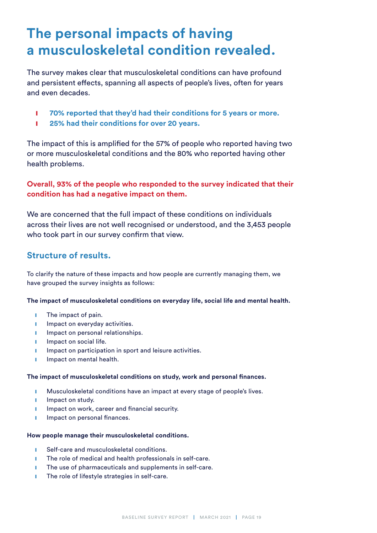# **The personal impacts of having a musculoskeletal condition revealed.**

The survey makes clear that musculoskeletal conditions can have profound and persistent effects, spanning all aspects of people's lives, often for years and even decades.

- $\blacksquare$  **70% reported that they'd had their conditions for 5 years or more.**
- ❙ **25% had their conditions for over 20 years.**

The impact of this is amplified for the 57% of people who reported having two or more musculoskeletal conditions and the 80% who reported having other health problems.

#### **Overall, 93% of the people who responded to the survey indicated that their condition has had a negative impact on them.**

We are concerned that the full impact of these conditions on individuals across their lives are not well recognised or understood, and the 3,453 people who took part in our survey confirm that view.

#### **Structure of results.**

To clarify the nature of these impacts and how people are currently managing them, we have grouped the survey insights as follows:

**The impact of musculoskeletal conditions on everyday life, social life and mental health.**

- **i** The impact of pain.
- **I** Impact on everyday activities.
- **I** Impact on personal relationships.
- **I** Impact on social life.
- **I** Impact on participation in sport and leisure activities.
- **i** Impact on mental health.

#### **The impact of musculoskeletal conditions on study, work and personal finances.**

- **I** Musculoskeletal conditions have an impact at every stage of people's lives.
- **I** Impact on study.
- **I** Impact on work, career and financial security.
- **I** Impact on personal finances.

#### **How people manage their musculoskeletal conditions.**

- Self-care and musculoskeletal conditions.
- **■** The role of medical and health professionals in self-care.
- **■** The use of pharmaceuticals and supplements in self-care.
- **■** The role of lifestyle strategies in self-care.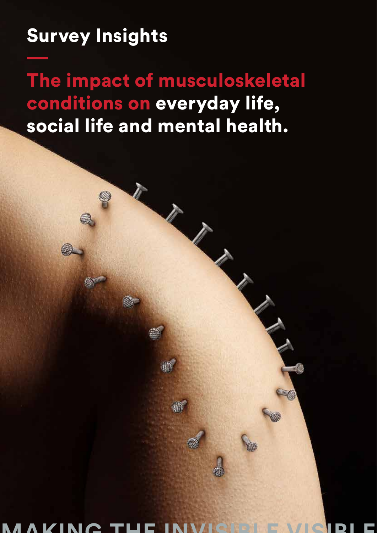# Survey Insights

The impact of musculoskeletal conditions on everyday life, social life and mental health.

**MAKING THE INVISIBLE VISIBLE**

痛

BASELINE SURVEY REPORT | MARCH 2021 | PAGE 2021 | PAGE 2021 | PAGE 2021 | PAGE 2021 | PAGE 2021 | PAGE 2021 |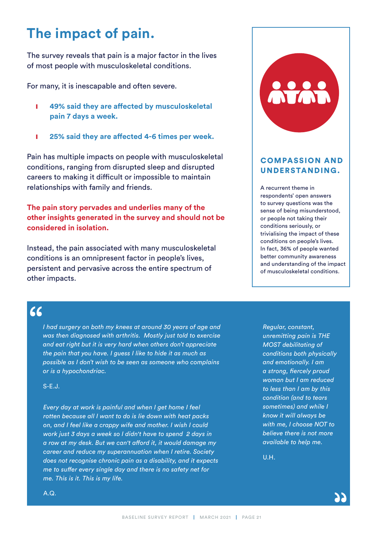# **The impact of pain.**

The survey reveals that pain is a major factor in the lives of most people with musculoskeletal conditions.

For many, it is inescapable and often severe.

- ❙ **49% said they are affected by musculoskeletal pain 7 days a week.**
- ❙ **25% said they are affected 4-6 times per week.**

Pain has multiple impacts on people with musculoskeletal conditions, ranging from disrupted sleep and disrupted careers to making it difficult or impossible to maintain relationships with family and friends.

#### **The pain story pervades and underlies many of the other insights generated in the survey and should not be considered in isolation.**

Instead, the pain associated with many musculoskeletal conditions is an omnipresent factor in people's lives, persistent and pervasive across the entire spectrum of other impacts.

### $66$

*I had surgery on both my knees at around 30 years of age and was then diagnosed with arthritis. Mostly just told to exercise and eat right but it is very hard when others don't appreciate the pain that you have. I guess I like to hide it as much as possible as I don't wish to be seen as someone who complains or is a hypochondriac.*

S-E.J.

*Every day at work is painful and when I get home I feel rotten because all I want to do is lie down with heat packs on, and I feel like a crappy wife and mother. I wish I could work just 3 days a week so I didn't have to spend 2 days in a row at my desk. But we can't afford it, it would damage my career and reduce my superannuation when I retire. Society does not recognise chronic pain as a disability, and it expects me to suffer every single day and there is no safety net for me. This is it. This is my life.*



#### COMPASSION AND UNDERSTANDING.

A recurrent theme in respondents' open answers to survey questions was the sense of being misunderstood, or people not taking their conditions seriously, or trivialising the impact of these conditions on people's lives. In fact, 36% of people wanted better community awareness and understanding of the impact of musculoskeletal conditions.

*Regular, constant, unremitting pain is THE MOST debilitating of conditions both physically and emotionally. I am a strong, fiercely proud woman but I am reduced to less than I am by this condition (and to tears sometimes) and while I know it will always be with me, I choose NOT to believe there is not more available to help me.*

U.H.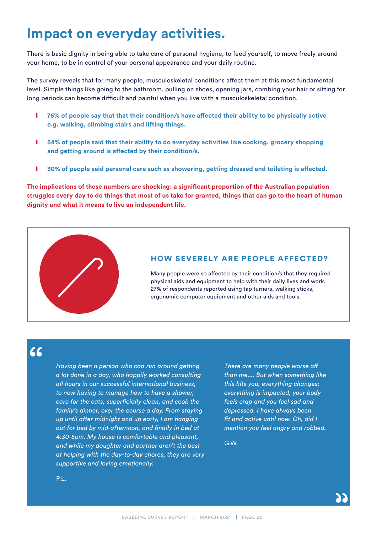## **Impact on everyday activities.**

There is basic dignity in being able to take care of personal hygiene, to feed yourself, to move freely around your home, to be in control of your personal appearance and your daily routine.

The survey reveals that for many people, musculoskeletal conditions affect them at this most fundamental level. Simple things like going to the bathroom, pulling on shoes, opening jars, combing your hair or sitting for long periods can become difficult and painful when you live with a musculoskeletal condition.

- **l** 76% of people say that that their condition/s have affected their ability to be physically active **e.g. walking, climbing stairs and lifting things.**
- **i** 54% of people said that their ability to do everyday activities like cooking, grocery shopping **and getting around is affected by their condition/s.**
- **I** 30% of people said personal care such as showering, getting dressed and toileting is affected.

**The implications of these numbers are shocking: a significant proportion of the Australian population struggles every day to do things that most of us take for granted, things that can go to the heart of human dignity and what it means to live an independent life.**



#### HOW SEVERELY ARE PEOPLE AFFECTED?

Many people were so affected by their condition/s that they required physical aids and equipment to help with their daily lives and work. 27% of respondents reported using tap turners, walking sticks, ergonomic computer equipment and other aids and tools.

 $66$ 

*Having been a person who can run around getting a lot done in a day, who happily worked consulting all hours in our successful international business, to now having to manage how to have a shower, care for the cats, superficially clean, and cook the family's dinner, over the course a day. From staying up until after midnight and up early, I am hanging out for bed by mid-afternoon, and finally in bed at 4:30-5pm. My house is comfortable and pleasant, and while my daughter and partner aren't the best at helping with the day-to-day chores, they are very supportive and loving emotionally.*

*There are many people worse off than me.... But when something like this hits you, everything changes; everything is impacted, your body feels crap and you feel sad and depressed. I have always been fit and active until now. Oh, did I mention you feel angry and robbed.*

G.W.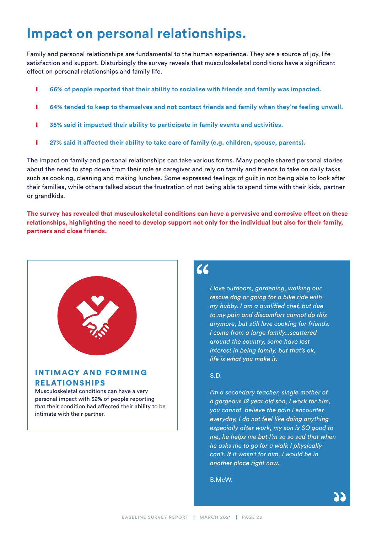# **Impact on personal relationships.**

Family and personal relationships are fundamental to the human experience. They are a source of joy, life satisfaction and support. Disturbingly the survey reveals that musculoskeletal conditions have a significant effect on personal relationships and family life.

- **lace 66% of people reported that their ability to socialise with friends and family was impacted.**
- **l** 64% tended to keep to themselves and not contact friends and family when they're feeling unwell.
- **I** 35% said it impacted their ability to participate in family events and activities.
- **lacktria) 1 27% said it affected their ability to take care of family (e.g. children, spouse, parents).**

The impact on family and personal relationships can take various forms. Many people shared personal stories about the need to step down from their role as caregiver and rely on family and friends to take on daily tasks such as cooking, cleaning and making lunches. Some expressed feelings of guilt in not being able to look after their families, while others talked about the frustration of not being able to spend time with their kids, partner or grandkids.

**The survey has revealed that musculoskeletal conditions can have a pervasive and corrosive effect on these relationships, highlighting the need to develop support not only for the individual but also for their family, partners and close friends.**



#### INTIMACY AND FORMING RELATIONSHIPS

Musculoskeletal conditions can have a very personal impact with 32% of people reporting that their condition had affected their ability to be intimate with their partner.

### $66$

*I love outdoors, gardening, walking our rescue dog or going for a bike ride with my hubby. I am a qualified chef, but due to my pain and discomfort cannot do this anymore, but still love cooking for friends. I come from a large family...scattered around the country, some have lost interest in being family, but that's ok, life is what you make it.*

#### S.D.

*I'm a secondary teacher, single mother of a gorgeous 12 year old son, I work for him, you cannot believe the pain I encounter everyday, I do not feel like doing anything especially after work, my son is SO good to me, he helps me but I'm so so sad that when he asks me to go for a walk I physically can't. If it wasn't for him, I would be in another place right now.*

B.McW.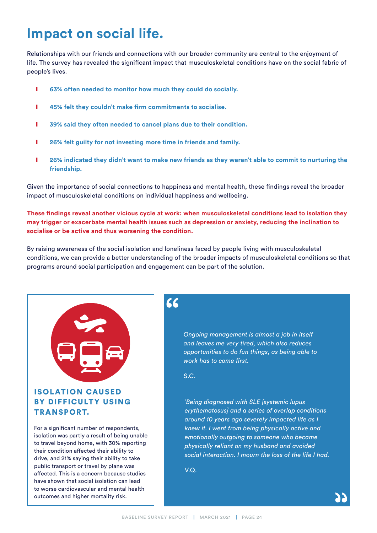# **Impact on social life.**

Relationships with our friends and connections with our broader community are central to the enjoyment of life. The survey has revealed the significant impact that musculoskeletal conditions have on the social fabric of people's lives.

- **lacks** 63% often needed to monitor how much they could do socially.
- ❙ **45% felt they couldn't make firm commitments to socialise.**
- **lacks** 39% said they often needed to cancel plans due to their condition.
- **lacks** 26% felt guilty for not investing more time in friends and family.
- **l** 26% indicated they didn't want to make new friends as they weren't able to commit to nurturing the **friendship.**

Given the importance of social connections to happiness and mental health, these findings reveal the broader impact of musculoskeletal conditions on individual happiness and wellbeing.

**These findings reveal another vicious cycle at work: when musculoskeletal conditions lead to isolation they may trigger or exacerbate mental health issues such as depression or anxiety, reducing the inclination to socialise or be active and thus worsening the condition.** 

By raising awareness of the social isolation and loneliness faced by people living with musculoskeletal conditions, we can provide a better understanding of the broader impacts of musculoskeletal conditions so that programs around social participation and engagement can be part of the solution.



#### ISOLATION CAUSED BY DIFFICULTY USING TRANSPORT.

For a significant number of respondents, isolation was partly a result of being unable to travel beyond home, with 30% reporting their condition affected their ability to drive, and 21% saying their ability to take public transport or travel by plane was affected. This is a concern because studies have shown that social isolation can lead to worse cardiovascular and mental health outcomes and higher mortality risk.

#### $\epsilon$

*Ongoing management is almost a job in itself and leaves me very tired, which also reduces opportunities to do fun things, as being able to work has to come first.*

S.C.

*'Being diagnosed with SLE [systemic lupus erythematosus] and a series of overlap conditions around 10 years ago severely impacted life as I knew it. I went from being physically active and emotionally outgoing to someone who became physically reliant on my husband and avoided social interaction. I mourn the loss of the life I had.*

 $VQ$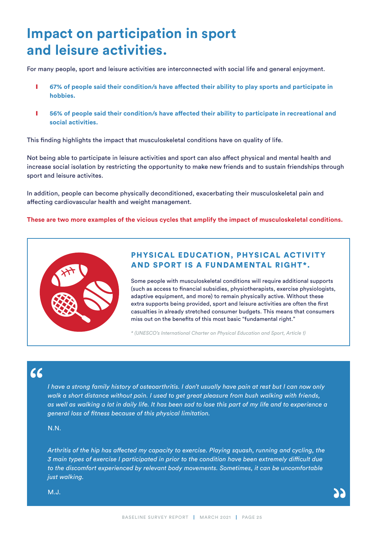# **Impact on participation in sport and leisure activities.**

For many people, sport and leisure activities are interconnected with social life and general enjoyment.

- **i** 67% of people said their condition/s have affected their ability to play sports and participate in **hobbies.**
- **lacktriangleright 1 56% of people said their condition/s have affected their ability to participate in recreational and social activities.**

This finding highlights the impact that musculoskeletal conditions have on quality of life.

Not being able to participate in leisure activities and sport can also affect physical and mental health and increase social isolation by restricting the opportunity to make new friends and to sustain friendships through sport and leisure activites.

In addition, people can become physically deconditioned, exacerbating their musculoskeletal pain and affecting cardiovascular health and weight management.

**These are two more examples of the vicious cycles that amplify the impact of musculoskeletal conditions.** 



#### PHYSICAL EDUCATION, PHYSICAL ACTIVITY AND SPORT IS A FUNDAMENTAL RIGHT\*.

Some people with musculoskeletal conditions will require additional supports (such as access to financial subsidies, physiotherapists, exercise physiologists, adaptive equipment, and more) to remain physically active. Without these extra supports being provided, sport and leisure activities are often the first casualties in already stretched consumer budgets. This means that consumers miss out on the benefits of this most basic "fundamental right."

*\* (UNESCO's International Charter on Physical Education and Sport, Article 1)*

# $66$

*I have a strong family history of osteoarthritis. I don't usually have pain at rest but I can now only walk a short distance without pain. I used to get great pleasure from bush walking with friends, as well as walking a lot in daily life. It has been sad to lose this part of my life and to experience a general loss of fitness because of this physical limitation.*

N.N.

*Arthritis of the hip has affected my capacity to exercise. Playing squash, running and cycling, the 3 main types of exercise I participated in prior to the condition have been extremely difficult due to the discomfort experienced by relevant body movements. Sometimes, it can be uncomfortable just walking.*

M.J.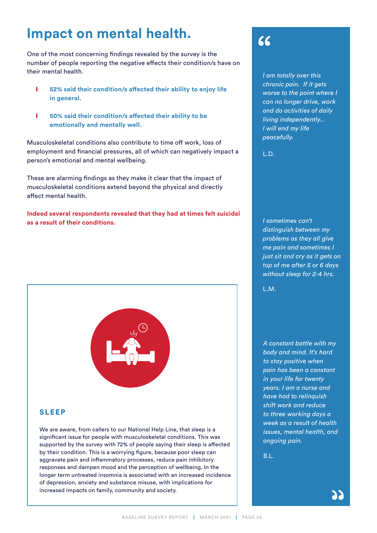# **Impact on mental health.**

One of the most concerning findings revealed by the survey is the number of people reporting the negative effects their condition/s have on their mental health.

- **lacks** 52% said their condition/s affected their ability to enjoy life **in general.**
- ❙ **50% said their condition/s affected their ability to be emotionally and mentally well.**

Musculoskeletal conditions also contribute to time off work, loss of employment and financial pressures, all of which can negatively impact a person's emotional and mental wellbeing.

These are alarming findings as they make it clear that the impact of musculoskeletal conditions extend beyond the physical and directly affect mental health.

**Indeed several respondents revealed that they had at times felt suicidal as a result of their conditions.**



#### SLEEP

We are aware, from callers to our National Help Line, that sleep is a significant issue for people with musculoskeletal conditions. This was supported by the survey with 72% of people saying their sleep is affected by their condition. This is a worrying figure, because poor sleep can aggravate pain and inflammatory processes, reduce pain inhibitory responses and dampen mood and the perception of wellbeing. In the longer term untreated insomnia is associated with an increased incidence of depression, anxiety and substance misuse, with implications for increased impacts on family, community and society.

 $66$ 

*I am totally over this chronic pain. If it gets worse to the point where I can no longer drive, work and do activities of daily living independently... I will end my life peacefully.*

L.D.

*I sometimes can't distinguish between my problems as they all give me pain and sometimes I just sit and cry as it gets on top of me after 5 or 6 days without sleep for 2-4 hrs.*

L.M.

*A constant battle with my body and mind. It's hard to stay positive when pain has been a constant in your life for twenty years. I am a nurse and have had to relinquish shift work and reduce to three working days a week as a result of health issues, mental health, and ongoing pain.*

B.L.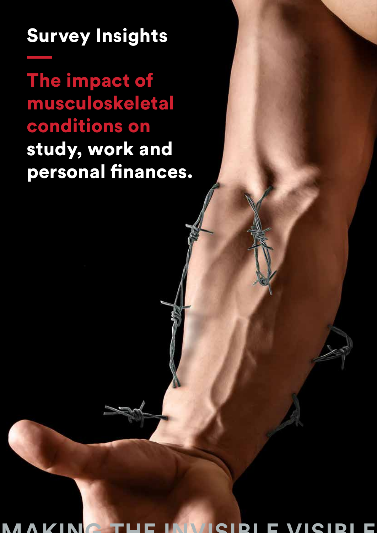# Survey Insights

The impact of musculoskeletal conditions on study, work and personal finances.

BASELINE SURVEY REPORT | MARCH 2021 | PAGE 27 **MAKING THE INVISIBLE VISIBLE**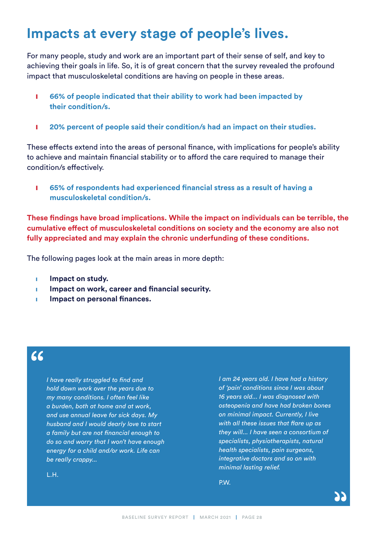## **Impacts at every stage of people's lives.**

For many people, study and work are an important part of their sense of self, and key to achieving their goals in life. So, it is of great concern that the survey revealed the profound impact that musculoskeletal conditions are having on people in these areas.

- **i** 66% of people indicated that their ability to work had been impacted by **their condition/s.**
- ❙ **20% percent of people said their condition/s had an impact on their studies.**

These effects extend into the areas of personal finance, with implications for people's ability to achieve and maintain financial stability or to afford the care required to manage their condition/s effectively.

❙ **65% of respondents had experienced financial stress as a result of having a musculoskeletal condition/s.**

**These findings have broad implications. While the impact on individuals can be terrible, the cumulative effect of musculoskeletal conditions on society and the economy are also not fully appreciated and may explain the chronic underfunding of these conditions.**

The following pages look at the main areas in more depth:

- **i** Impact on study.
- **Impact on work, career and financial security.**
- **Impact on personal finances.**

### $66$

*I have really struggled to find and hold down work over the years due to my many conditions. I often feel like a burden, both at home and at work, and use annual leave for sick days. My husband and I would dearly love to start a family but are not financial enough to do so and worry that I won't have enough energy for a child and/or work. Life can be really crappy...*

*I am 24 years old. I have had a history of 'pain' conditions since I was about 16 years old... I was diagnosed with osteopenia and have had broken bones on minimal impact. Currently, I live with all these issues that flare up as they will... I have seen a consortium of specialists, physiotherapists, natural health specialists, pain surgeons, integrative doctors and so on with minimal lasting relief.*

P.W.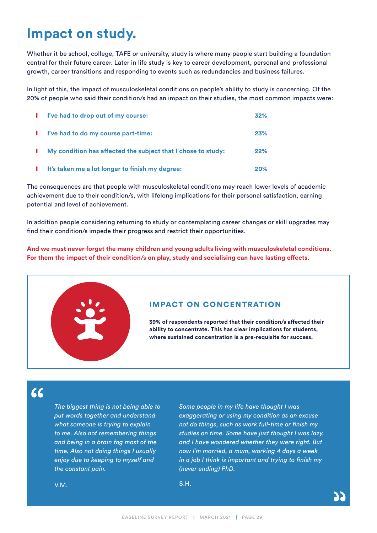## **Impact on study.**

Whether it be school, college, TAFE or university, study is where many people start building a foundation central for their future career. Later in life study is key to career development, personal and professional growth, career transitions and responding to events such as redundancies and business failures.

In light of this, the impact of musculoskeletal conditions on people's ability to study is concerning. Of the 20% of people who said their condition/s had an impact on their studies, the most common impacts were:

| . . | I've had to drop out of my course:                           | 32%        |
|-----|--------------------------------------------------------------|------------|
|     | l've had to do my course part-time:                          | 23%        |
|     | My condition has affected the subject that I chose to study: | 22%        |
|     | It's taken me a lot longer to finish my degree:              | <b>20%</b> |

The consequences are that people with musculoskeletal conditions may reach lower levels of academic achievement due to their condition/s, with lifelong implications for their personal satisfaction, earning potential and level of achievement.

In addition people considering returning to study or contemplating career changes or skill upgrades may find their condition/s impede their progress and restrict their opportunities.

**And we must never forget the many children and young adults living with musculoskeletal conditions. For them the impact of their condition/s on play, study and socialising can have lasting effects.**



 $66$ 

*The biggest thing is not being able to put words together and understand what someone is trying to explain to me. Also not remembering things and being in a brain fog most of the time. Also not doing things I usually enjoy due to keeping to myself and the constant pain.*

*Some people in my life have thought I was exaggerating or using my condition as an excuse not do things, such as work full-time or finish my studies on time. Some have just thought I was lazy, and I have wondered whether they were right. But now I'm married, a mum, working 4 days a week in a job I think is important and trying to finish my (never ending) PhD.*

V.M.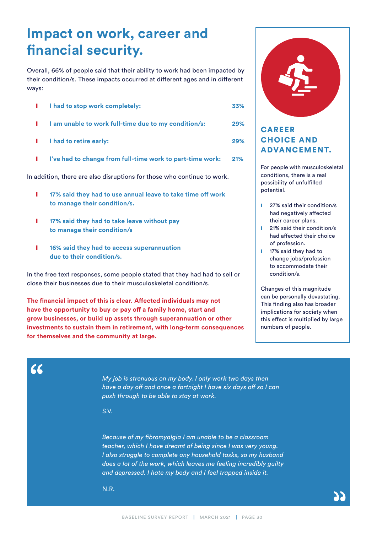# **Impact on work, career and financial security.**

Overall, 66% of people said that their ability to work had been impacted by their condition/s. These impacts occurred at different ages and in different ways:

|               | I had to stop work completely:                            | 33% |
|---------------|-----------------------------------------------------------|-----|
|               | I am unable to work full-time due to my condition/s:      | 29% |
| and the state | I had to retire early:                                    | 29% |
|               | I've had to change from full-time work to part-time work: | 21% |

In addition, there are also disruptions for those who continue to work.

- ❙ **17% said they had to use annual leave to take time off work to manage their condition/s.**
- ❙ **17% said they had to take leave without pay to manage their condition/s**
- ❙ **16% said they had to access superannuation due to their condition/s.**

In the free text responses, some people stated that they had had to sell or close their businesses due to their musculoskeletal condition/s.

**The financial impact of this is clear. Affected individuals may not have the opportunity to buy or pay off a family home, start and grow businesses, or build up assets through superannuation or other investments to sustain them in retirement, with long-term consequences for themselves and the community at large.**



#### CAREER CHOICE AND ADVANCEMENT.

For people with musculoskeletal conditions, there is a real possibility of unfulfilled potential.

- **I** 27% said their condition/s had negatively affected their career plans.
- **I** 21% said their condition/s had affected their choice of profession.
- **I** 17% said they had to change jobs/profession to accommodate their condition/s.

Changes of this magnitude can be personally devastating. This finding also has broader implications for society when this effect is multiplied by large numbers of people.

*My job is strenuous on my body. I only work two days then have a day off and once a fortnight I have six days off so I can push through to be able to stay at work.*

S.V.

 $\epsilon$ 

*Because of my fibromyalgia I am unable to be a classroom teacher, which I have dreamt of being since I was very young. I also struggle to complete any household tasks, so my husband does a lot of the work, which leaves me feeling incredibly guilty and depressed. I hate my body and I feel trapped inside it.*

N.R.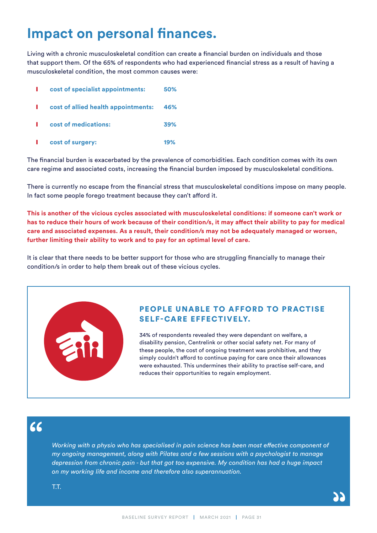# **Impact on personal finances.**

Living with a chronic musculoskeletal condition can create a financial burden on individuals and those that support them. Of the 65% of respondents who had experienced financial stress as a result of having a musculoskeletal condition, the most common causes were:

|      | cost of specialist appointments:        | 50% |
|------|-----------------------------------------|-----|
|      | cost of allied health appointments: 46% |     |
|      | cost of medications:                    | 39% |
| a ka | cost of surgery:                        | 19% |

The financial burden is exacerbated by the prevalence of comorbidities. Each condition comes with its own care regime and associated costs, increasing the financial burden imposed by musculoskeletal conditions.

There is currently no escape from the financial stress that musculoskeletal conditions impose on many people. In fact some people forego treatment because they can't afford it.

**This is another of the vicious cycles associated with musculoskeletal conditions: if someone can't work or has to reduce their hours of work because of their condition/s, it may affect their ability to pay for medical care and associated expenses. As a result, their condition/s may not be adequately managed or worsen, further limiting their ability to work and to pay for an optimal level of care.**

It is clear that there needs to be better support for those who are struggling financially to manage their condition/s in order to help them break out of these vicious cycles.

#### PEOPLE UNABLE TO AFFORD TO PRACTISE SELF-CARE EFFECTIVELY.

34% of respondents revealed they were dependant on welfare, a disability pension, Centrelink or other social safety net. For many of these people, the cost of ongoing treatment was prohibitive, and they simply couldn't afford to continue paying for care once their allowances were exhausted. This undermines their ability to practise self-care, and reduces their opportunities to regain employment.

 $66$ 

*Working with a physio who has specialised in pain science has been most effective component of my ongoing management, along with Pilates and a few sessions with a psychologist to manage depression from chronic pain - but that got too expensive. My condition has had a huge impact on my working life and income and therefore also superannuation.*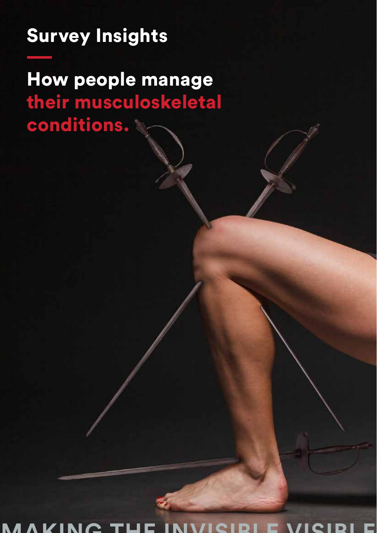# Survey Insights

How people manage their musculoskeletal conditions.

**MAKING THE INVISIBLE VISIBLE**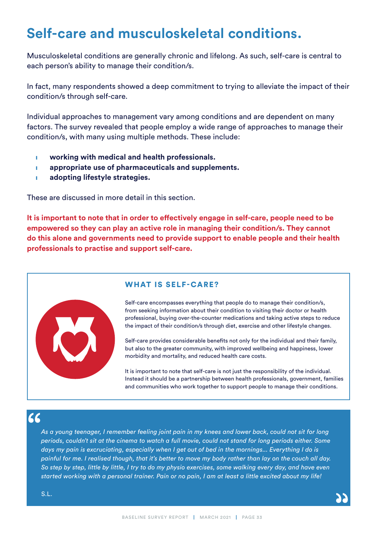# **Self-care and musculoskeletal conditions.**

Musculoskeletal conditions are generally chronic and lifelong. As such, self-care is central to each person's ability to manage their condition/s.

In fact, many respondents showed a deep commitment to trying to alleviate the impact of their condition/s through self-care.

Individual approaches to management vary among conditions and are dependent on many factors. The survey revealed that people employ a wide range of approaches to manage their condition/s, with many using multiple methods. These include:

- **u** working with medical and health professionals.
- ❙ **appropriate use of pharmaceuticals and supplements.**
- ❙ **adopting lifestyle strategies.**

These are discussed in more detail in this section.

**It is important to note that in order to effectively engage in self-care, people need to be empowered so they can play an active role in managing their condition/s. They cannot do this alone and governments need to provide support to enable people and their health professionals to practise and support self-care.**



#### WHAT IS SELF-CARE?

Self-care encompasses everything that people do to manage their condition/s, from seeking information about their condition to visiting their doctor or health professional, buying over-the-counter medications and taking active steps to reduce the impact of their condition/s through diet, exercise and other lifestyle changes.

Self-care provides considerable benefits not only for the individual and their family, but also to the greater community, with improved wellbeing and happiness, lower morbidity and mortality, and reduced health care costs.

It is important to note that self-care is not just the responsibility of the individual. Instead it should be a partnership between health professionals, government, families and communities who work together to support people to manage their conditions.

### $66$

*As a young teenager, I remember feeling joint pain in my knees and lower back, could not sit for long periods, couldn't sit at the cinema to watch a full movie, could not stand for long periods either. Some days my pain is excruciating, especially when I get out of bed in the mornings... Everything I do is painful for me. I realised though, that it's better to move my body rather than lay on the couch all day. So step by step, little by little, I try to do my physio exercises, some walking every day, and have even started working with a personal trainer. Pain or no pain, I am at least a little excited about my life!*

S.L.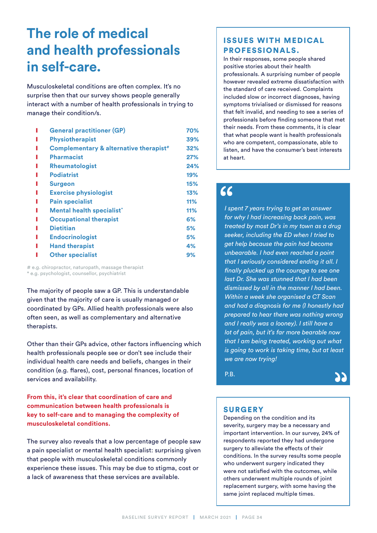# **The role of medical and health professionals in self-care.**

Musculoskeletal conditions are often complex. It's no surprise then that our survey shows people generally interact with a number of health professionals in trying to manage their condition/s.

| <b>General practitioner (GP)</b>                   |     |
|----------------------------------------------------|-----|
|                                                    | 70% |
| <b>Physiotherapist</b>                             | 39% |
| Complementary & alternative therapist <sup>#</sup> | 32% |
| <b>Pharmacist</b>                                  | 27% |
| Rheumatologist                                     | 24% |
| <b>Podiatrist</b>                                  | 19% |
| <b>Surgeon</b>                                     | 15% |
| <b>Exercise physiologist</b>                       | 13% |
| <b>Pain specialist</b>                             | 11% |
| Mental health specialist*                          | 11% |
| <b>Occupational therapist</b>                      | 6%  |
| <b>Dietitian</b>                                   | 5%  |
| <b>Endocrinologist</b>                             | 5%  |
| <b>Hand therapist</b>                              | 4%  |
| <b>Other specialist</b>                            | 9%  |
|                                                    |     |

# e.g. chiropractor, naturopath, massage therapist \* e.g. psychologist, counsellor, psychiatrist

The majority of people saw a GP. This is understandable given that the majority of care is usually managed or coordinated by GPs. Allied health professionals were also often seen, as well as complementary and alternative therapists.

Other than their GPs advice, other factors influencing which health professionals people see or don't see include their individual health care needs and beliefs, changes in their condition (e.g. flares), cost, personal finances, location of services and availability.

**From this, it's clear that coordination of care and communication between health professionals is key to self-care and to managing the complexity of musculoskeletal conditions.** 

The survey also reveals that a low percentage of people saw a pain specialist or mental health specialist: surprising given that people with musculoskeletal conditions commonly experience these issues. This may be due to stigma, cost or a lack of awareness that these services are available.

#### ISSUES WITH MEDICAL PROFESSIONALS.

In their responses, some people shared positive stories about their health professionals. A surprising number of people however revealed extreme dissatisfaction with the standard of care received. Complaints included slow or incorrect diagnoses, having symptoms trivialised or dismissed for reasons that felt invalid, and needing to see a series of professionals before finding someone that met their needs. From these comments, it is clear that what people want is health professionals who are competent, compassionate, able to listen, and have the consumer's best interests at heart.

### $66$

*I spent 7 years trying to get an answer for why I had increasing back pain, was treated by most Dr's in my town as a drug seeker, including the ED when I tried to get help because the pain had become unbearable. I had even reached a point that I seriously considered ending it all. I finally plucked up the courage to see one last Dr. She was stunned that I had been dismissed by all in the manner I had been. Within a week she organised a CT Scan and had a diagnosis for me (I honestly had prepared to hear there was nothing wrong and I really was a looney). I still have a lot of pain, but it's far more bearable now that I am being treated, working out what is going to work is taking time, but at least we are now trying!*

P.B.



#### **SURGERY**

Depending on the condition and its severity, surgery may be a necessary and important intervention. In our survey, 24% of respondents reported they had undergone surgery to alleviate the effects of their conditions. In the survey results some people who underwent surgery indicated they were not satisfied with the outcomes, while others underwent multiple rounds of joint replacement surgery, with some having the same joint replaced multiple times.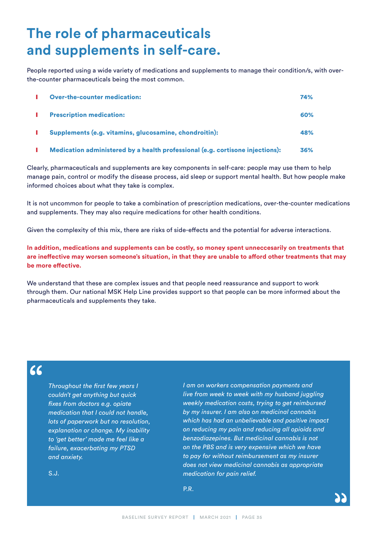# **The role of pharmaceuticals and supplements in self-care.**

People reported using a wide variety of medications and supplements to manage their condition/s, with overthe-counter pharmaceuticals being the most common.

| <b>Over-the-counter medication:</b>                    | 74% |
|--------------------------------------------------------|-----|
| <b>Prescription medication:</b>                        | 60% |
| Supplements (e.g. vitamins, glucosamine, chondroitin): | 48% |

**I** Medication administered by a health professional (e.g. cortisone injections): 36%

Clearly, pharmaceuticals and supplements are key components in self-care: people may use them to help manage pain, control or modify the disease process, aid sleep or support mental health. But how people make informed choices about what they take is complex.

It is not uncommon for people to take a combination of prescription medications, over-the-counter medications and supplements. They may also require medications for other health conditions.

Given the complexity of this mix, there are risks of side-effects and the potential for adverse interactions.

**In addition, medications and supplements can be costly, so money spent unneccesarily on treatments that are ineffective may worsen someone's situation, in that they are unable to afford other treatments that may be more effective.** 

We understand that these are complex issues and that people need reassurance and support to work through them. Our national MSK Help Line provides support so that people can be more informed about the pharmaceuticals and supplements they take.

### $66$

*Throughout the first few years I couldn't get anything but quick fixes from doctors e.g. opiate medication that I could not handle, lots of paperwork but no resolution, explanation or change. My inability to 'get better' made me feel like a failure, exacerbating my PTSD and anxiety.*

*I am on workers compensation payments and live from week to week with my husband juggling weekly medication costs, trying to get reimbursed by my insurer. I am also on medicinal cannabis which has had an unbelievable and positive impact on reducing my pain and reducing all opioids and benzodiazepines. But medicinal cannabis is not on the PBS and is very expensive which we have to pay for without reimbursement as my insurer does not view medicinal cannabis as appropriate medication for pain relief.*

S.J.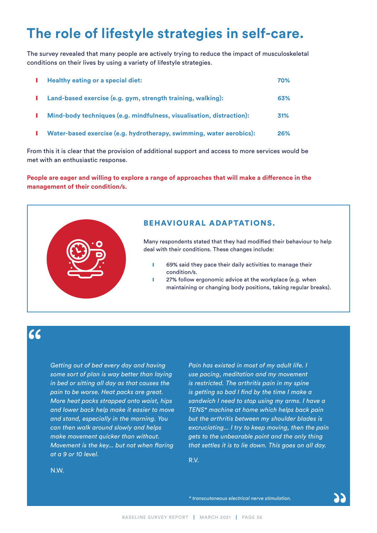# **The role of lifestyle strategies in self-care.**

The survey revealed that many people are actively trying to reduce the impact of musculoskeletal conditions on their lives by using a variety of lifestyle strategies.

|   | I Healthy eating or a special diet:                                  | 70% |
|---|----------------------------------------------------------------------|-----|
| ш | Land-based exercise (e.g. gym, strength training, walking):          | 63% |
|   | Mind-body techniques (e.g. mindfulness, visualisation, distraction): | 31% |
|   | Water-based exercise (e.g. hydrotherapy, swimming, water aerobics):  | 26% |

From this it is clear that the provision of additional support and access to more services would be met with an enthusiastic response.

**People are eager and willing to explore a range of approaches that will make a difference in the management of their condition/s.**



### 66

*Getting out of bed every day and having some sort of plan is way better than laying in bed or sitting all day as that causes the pain to be worse. Heat packs are great. More heat packs strapped onto waist, hips and lower back help make it easier to move and stand, especially in the morning. You can then walk around slowly and helps make movement quicker than without. Movement is the key... but not when flaring at a 9 or 10 level.*

*Pain has existed in most of my adult life. I use pacing, meditation and my movement is restricted. The arthritis pain in my spine is getting so bad I find by the time I make a sandwich I need to stop using my arms. I have a TENS\* machine at home which helps back pain but the arthritis between my shoulder blades is excruciating... I try to keep moving, then the pain gets to the unbearable point and the only thing that settles it is to lie down. This goes on all day.*

R.V.

N.W.

*\* transcutaneous electrical nerve stimulation.*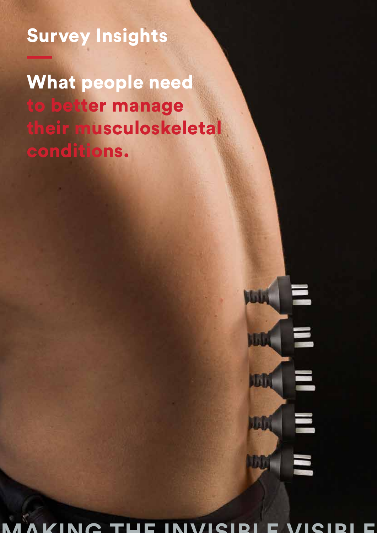Survey Insights

What people need to better manage their musculoskeletal conditions.

# $\blacksquare$ **Mala** I W E **JBD**  $\blacksquare$ John **Lilli**

**MAKING THE INVISIBLE VISIBLE**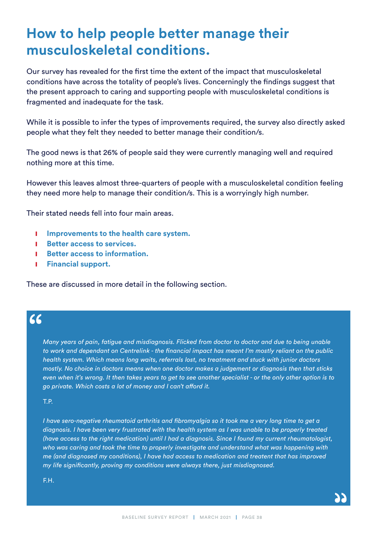## **How to help people better manage their musculoskeletal conditions.**

Our survey has revealed for the first time the extent of the impact that musculoskeletal conditions have across the totality of people's lives. Concerningly the findings suggest that the present approach to caring and supporting people with musculoskeletal conditions is fragmented and inadequate for the task.

While it is possible to infer the types of improvements required, the survey also directly asked people what they felt they needed to better manage their condition/s.

The good news is that 26% of people said they were currently managing well and required nothing more at this time.

However this leaves almost three-quarters of people with a musculoskeletal condition feeling they need more help to manage their condition/s. This is a worryingly high number.

Their stated needs fell into four main areas.

- ❙ **Improvements to the health care system.**
- ❙ **Better access to services.**
- ❙ **Better access to information.**
- ❙ **Financial support.**

These are discussed in more detail in the following section.

### $66$

*Many years of pain, fatigue and misdiagnosis. Flicked from doctor to doctor and due to being unable to work and dependant on Centrelink - the financial impact has meant I'm mostly reliant on the public health system. Which means long waits, referrals lost, no treatment and stuck with junior doctors mostly. No choice in doctors means when one doctor makes a judgement or diagnosis then that sticks even when it's wrong. It then takes years to get to see another specialist - or the only other option is to go private. Which costs a lot of money and I can't afford it.*

T.P.

*I have sero-negative rheumatoid arthritis and fibromyalgia so it took me a very long time to get a diagnosis. I have been very frustrated with the health system as I was unable to be properly treated (have access to the right medication) until I had a diagnosis. Since I found my current rheumatologist, who was caring and took the time to properly investigate and understand what was happening with me (and diagnosed my conditions), I have had access to medication and treatent that has improved my life significantly, proving my conditions were always there, just misdiagnosed.*

F.H.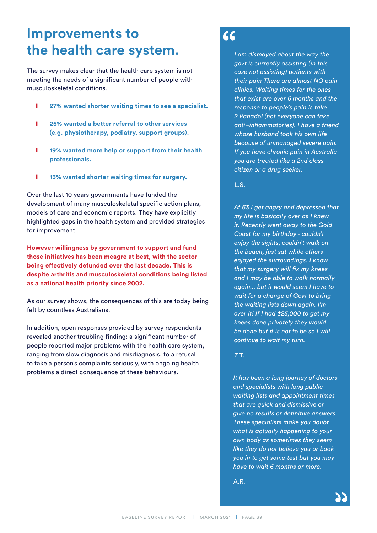### **Improvements to the health care system.**

The survey makes clear that the health care system is not meeting the needs of a significant number of people with musculoskeletal conditions.

- ❙ **27% wanted shorter waiting times to see a specialist.**
- ❙ **25% wanted a better referral to other services (e.g. physiotherapy, podiatry, support groups).**
- **lacks** 19% wanted more help or support from their health **professionals.**
- **lacks** 13% wanted shorter waiting times for surgery.

Over the last 10 years governments have funded the development of many musculoskeletal specific action plans, models of care and economic reports. They have explicitly highlighted gaps in the health system and provided strategies for improvement.

**However willingness by government to support and fund those initiatives has been meagre at best, with the sector being effectively defunded over the last decade. This is despite arthritis and musculoskeletal conditions being listed as a national health priority since 2002.** 

As our survey shows, the consequences of this are today being felt by countless Australians.

In addition, open responses provided by survey respondents revealed another troubling finding: a significant number of people reported major problems with the health care system, ranging from slow diagnosis and misdiagnosis, to a refusal to take a person's complaints seriously, with ongoing health problems a direct consequence of these behaviours.

### 66

*I am dismayed about the way the govt is currently assisting (in this case not assisting) patients with their pain There are almost NO pain clinics. Waiting times for the ones that exist are over 6 months and the response to people's pain is take 2 Panadol (not everyone can take anti–inflammatories). I have a friend whose husband took his own life because of unmanaged severe pain. If you have chronic pain in Australia you are treated like a 2nd class citizen or a drug seeker.*

L.S.

*At 63 I get angry and depressed that my life is basically over as I knew it. Recently went away to the Gold Coast for my birthday - couldn't enjoy the sights, couldn't walk on the beach, just sat while others enjoyed the surroundings. I know that my surgery will fix my knees and I may be able to walk normally again... but it would seem I have to wait for a change of Govt to bring the waiting lists down again. I'm over it! If I had \$25,000 to get my knees done privately they would be done but it is not to be so I will continue to wait my turn.*

Z.T.

*It has been a long journey of doctors and specialists with long public waiting lists and appointment times that are quick and dismissive or give no results or definitive answers. These specialists make you doubt what is actually happening to your own body as sometimes they seem like they do not believe you or book you in to get some test but you may have to wait 6 months or more.*

A.R.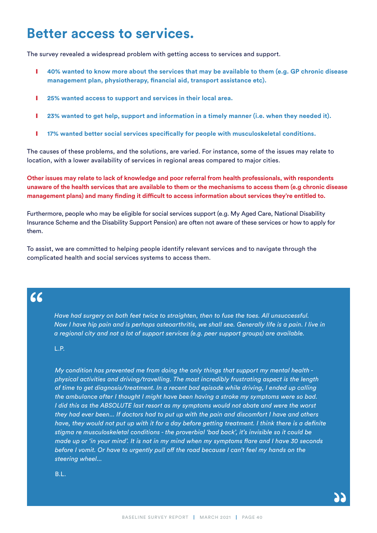### **Better access to services.**

The survey revealed a widespread problem with getting access to services and support.

- **l 40% wanted to know more about the services that may be available to them (e.g. GP chronic disease management plan, physiotherapy, financial aid, transport assistance etc).**
- ❙ **25% wanted access to support and services in their local area.**
- **l** 23% wanted to get help, support and information in a timely manner (i.e. when they needed it).
- **lack 17% wanted better social services specifically for people with musculoskeletal conditions.**

The causes of these problems, and the solutions, are varied. For instance, some of the issues may relate to location, with a lower availability of services in regional areas compared to major cities.

**Other issues may relate to lack of knowledge and poor referral from health professionals, with respondents unaware of the health services that are available to them or the mechanisms to access them (e.g chronic disease management plans) and many finding it difficult to access information about services they're entitled to.**

Furthermore, people who may be eligible for social services support (e.g. My Aged Care, National Disability Insurance Scheme and the Disability Support Pension) are often not aware of these services or how to apply for them.

To assist, we are committed to helping people identify relevant services and to navigate through the complicated health and social services systems to access them.

### $66$

*Have had surgery on both feet twice to straighten, then to fuse the toes. All unsuccessful. Now I have hip pain and is perhaps osteoarthritis, we shall see. Generally life is a pain. I live in a regional city and not a lot of support services (e.g. peer support groups) are available.*

#### L.P.

*My condition has prevented me from doing the only things that support my mental health physical activities and driving/travelling. The most incredibly frustrating aspect is the length of time to get diagnosis/treatment. In a recent bad episode while driving, I ended up calling the ambulance after I thought I might have been having a stroke my symptoms were so bad. I did this as the ABSOLUTE last resort as my symptoms would not abate and were the worst they had ever been... If doctors had to put up with the pain and discomfort I have and others have, they would not put up with it for a day before getting treatment. I think there is a definite stigma re musculoskeletal conditions - the proverbial 'bad back', it's invisible so it could be made up or 'in your mind'. It is not in my mind when my symptoms flare and I have 30 seconds before I vomit. Or have to urgently pull off the road because I can't feel my hands on the steering wheel...*

B.L.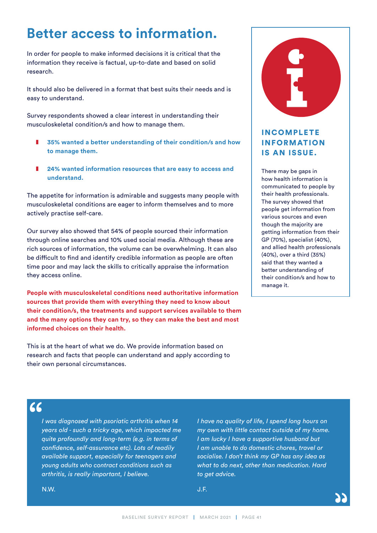# **Better access to information.**

In order for people to make informed decisions it is critical that the information they receive is factual, up-to-date and based on solid research.

It should also be delivered in a format that best suits their needs and is easy to understand.

Survey respondents showed a clear interest in understanding their musculoskeletal condition/s and how to manage them.

- ❚ **35% wanted a better understanding of their condition/s and how to manage them.**
- ❚ **24% wanted information resources that are easy to access and understand.**

The appetite for information is admirable and suggests many people with musculoskeletal conditions are eager to inform themselves and to more actively practise self-care.

Our survey also showed that 54% of people sourced their information through online searches and 10% used social media. Although these are rich sources of information, the volume can be overwhelming. It can also be difficult to find and identify credible information as people are often time poor and may lack the skills to critically appraise the information they access online.

**People with musculoskeletal conditions need authoritative information sources that provide them with everything they need to know about their condition/s, the treatments and support services available to them and the many options they can try, so they can make the best and most informed choices on their health.**

This is at the heart of what we do. We provide information based on research and facts that people can understand and apply according to their own personal circumstances.



#### **INCOMPLETE** INFORMATION IS AN ISSUE.

There may be gaps in how health information is communicated to people by their health professionals. The survey showed that people get information from various sources and even though the majority are getting information from their GP (70%), specialist (40%), and allied health professionals (40%), over a third (35%) said that they wanted a better understanding of their condition/s and how to manage it.

### $\epsilon$

*I was diagnosed with psoriatic arthritis when 14 years old - such a tricky age, which impacted me quite profoundly and long-term (e.g. in terms of confidence, self-assurance etc). Lots of readily available support, especially for teenagers and young adults who contract conditions such as arthritis, is really important, I believe.*

*I have no quality of life, I spend long hours on my own with little contact outside of my home. I am lucky I have a supportive husband but I am unable to do domestic chores, travel or socialise. I don't think my GP has any idea as what to do next, other than medication. Hard to get advice.*

J.F.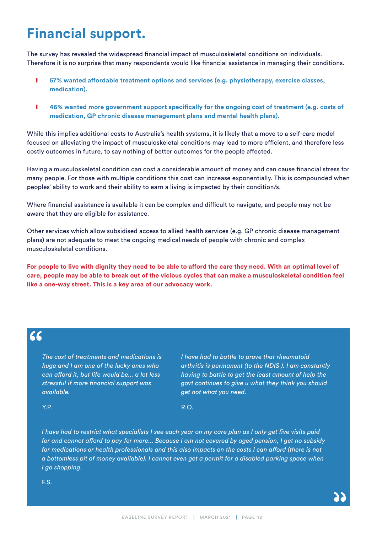# **Financial support.**

The survey has revealed the widespread financial impact of musculoskeletal conditions on individuals. Therefore it is no surprise that many respondents would like financial assistance in managing their conditions.

- **lacks** 57% wanted affordable treatment options and services (e.g. physiotherapy, exercise classes, **medication).**
- **lace 46% wanted more government support specifically for the ongoing cost of treatment (e.g. costs of medication, GP chronic disease management plans and mental health plans).**

While this implies additional costs to Australia's health systems, it is likely that a move to a self-care model focused on alleviating the impact of musculoskeletal conditions may lead to more efficient, and therefore less costly outcomes in future, to say nothing of better outcomes for the people affected.

Having a musculoskeletal condition can cost a considerable amount of money and can cause financial stress for many people. For those with multiple conditions this cost can increase exponentially. This is compounded when peoples' ability to work and their ability to earn a living is impacted by their condition/s.

Where financial assistance is available it can be complex and difficult to navigate, and people may not be aware that they are eligible for assistance.

Other services which allow subsidised access to allied health services (e.g. GP chronic disease management plans) are not adequate to meet the ongoing medical needs of people with chronic and complex musculoskeletal conditions.

**For people to live with dignity they need to be able to afford the care they need. With an optimal level of care, people may be able to break out of the vicious cycles that can make a musculoskeletal condition feel like a one-way street. This is a key area of our advocacy work.**

#### $\epsilon$

*The cost of treatments and medications is huge and I am one of the lucky ones who can afford it, but life would be... a lot less stressful if more financial support was available.*

*I have had to battle to prove that rheumatoid arthritis is permanent (to the NDIS ). I am constantly having to battle to get the least amount of help the govt continues to give u what they think you should get not what you need.*

Y.P.

R.O.

*I have had to restrict what specialists I see each year on my care plan as I only get five visits paid for and cannot afford to pay for more... Because I am not covered by aged pension, I get no subsidy for medications or health professionals and this also impacts on the costs I can afford (there is not a bottomless pit of money available). I cannot even get a permit for a disabled parking space when I go shopping.*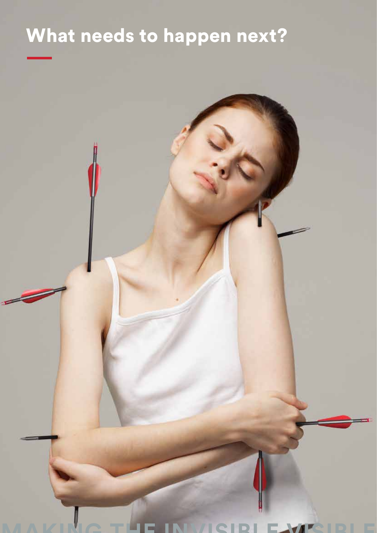# What needs to happen next?

**MAKING THE INVISIBLE VISIBLE**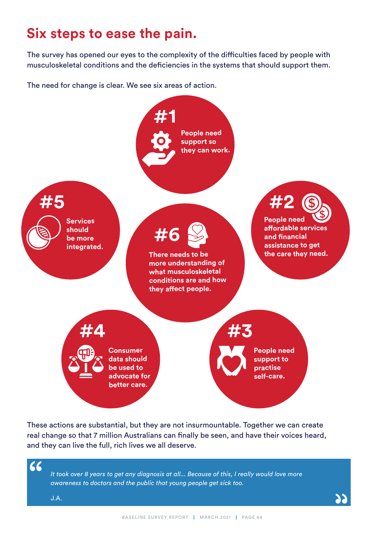## **Six steps to ease the pain.**

The survey has opened our eyes to the complexity of the difficulties faced by people with musculoskeletal conditions and the deficiencies in the systems that should support them.

The need for change is clear. We see six areas of action.



These actions are substantial, but they are not insurmountable. Together we can create real change so that 7 million Australians can finally be seen, and have their voices heard, and they can live the full, rich lives we all deserve.

66

*It took over 8 years to get any diagnosis at all... Because of this, I really would love more awareness to doctors and the public that young people get sick too.*

J.A.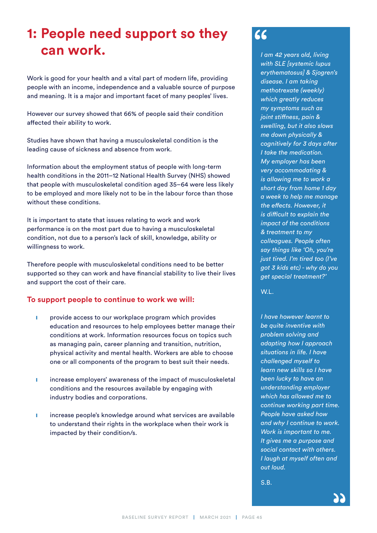# **1: People need support so they can work.**

Work is good for your health and a vital part of modern life, providing people with an income, independence and a valuable source of purpose and meaning. It is a major and important facet of many peoples' lives.

However our survey showed that 66% of people said their condition affected their ability to work.

Studies have shown that having a musculoskeletal condition is the leading cause of sickness and absence from work.

Information about the employment status of people with long-term health conditions in the 2011–12 National Health Survey (NHS) showed that people with musculoskeletal condition aged 35–64 were less likely to be employed and more likely not to be in the labour force than those without these conditions.

It is important to state that issues relating to work and work performance is on the most part due to having a musculoskeletal condition, not due to a person's lack of skill, knowledge, ability or willingness to work.

Therefore people with musculoskeletal conditions need to be better supported so they can work and have financial stability to live their lives and support the cost of their care.

#### **To support people to continue to work we will:**

- **I** provide access to our workplace program which provides education and resources to help employees better manage their conditions at work. Information resources focus on topics such as managing pain, career planning and transition, nutrition, physical activity and mental health. Workers are able to choose one or all components of the program to best suit their needs.
- **I** increase employers' awareness of the impact of musculoskeletal conditions and the resources available by engaging with industry bodies and corporations.
- **I** increase people's knowledge around what services are available to understand their rights in the workplace when their work is impacted by their condition/s.

### $66$

*I am 42 years old, living with SLE [systemic lupus erythematosus] & Sjogren's disease. I am taking methotrexate (weekly) which greatly reduces my symptoms such as joint stiffness, pain & swelling, but it also slows me down physically & cognitively for 3 days after I take the medication. My employer has been very accommodating & is allowing me to work a short day from home 1 day a week to help me manage the effects. However, it is difficult to explain the impact of the conditions & treatment to my colleagues. People often say things like 'Oh, you're just tired. I'm tired too (I've got 3 kids etc) - why do you get special treatment?'*

W.L.

*I have however learnt to be quite inventive with problem solving and adapting how I approach situations in life. I have challenged myself to learn new skills so I have been lucky to have an understanding employer which has allowed me to continue working part time. People have asked how and why I continue to work. Work is important to me. It gives me a purpose and social contact with others. I laugh at myself often and out loud.*

S.B.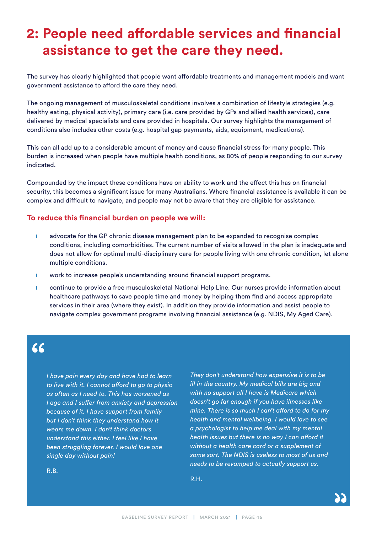# **2: People need affordable services and financial assistance to get the care they need.**

The survey has clearly highlighted that people want affordable treatments and management models and want government assistance to afford the care they need.

The ongoing management of musculoskeletal conditions involves a combination of lifestyle strategies (e.g. healthy eating, physical activity), primary care (i.e. care provided by GPs and allied health services), care delivered by medical specialists and care provided in hospitals. Our survey highlights the management of conditions also includes other costs (e.g. hospital gap payments, aids, equipment, medications).

This can all add up to a considerable amount of money and cause financial stress for many people. This burden is increased when people have multiple health conditions, as 80% of people responding to our survey indicated.

Compounded by the impact these conditions have on ability to work and the effect this has on financial security, this becomes a significant issue for many Australians. Where financial assistance is available it can be complex and difficult to navigate, and people may not be aware that they are eligible for assistance.

#### **To reduce this financial burden on people we will:**

- **i** advocate for the GP chronic disease management plan to be expanded to recognise complex conditions, including comorbidities. The current number of visits allowed in the plan is inadequate and does not allow for optimal multi-disciplinary care for people living with one chronic condition, let alone multiple conditions.
- **I** work to increase people's understanding around financial support programs.
- **■** continue to provide a free musculoskeletal National Help Line. Our nurses provide information about healthcare pathways to save people time and money by helping them find and access appropriate services in their area (where they exist). In addition they provide information and assist people to navigate complex government programs involving financial assistance (e.g. NDIS, My Aged Care).

### $66$

*I have pain every day and have had to learn to live with it. I cannot afford to go to physio as often as I need to. This has worsened as I age and I suffer from anxiety and depression because of it. I have support from family but I don't think they understand how it wears me down. I don't think doctors understand this either. I feel like I have been struggling forever. I would love one single day without pain!*

*They don't understand how expensive it is to be ill in the country. My medical bills are big and with no support all I have is Medicare which doesn't go far enough if you have illnesses like mine. There is so much I can't afford to do for my health and mental wellbeing. I would love to see a psychologist to help me deal with my mental health issues but there is no way I can afford it without a health care card or a supplement of some sort. The NDIS is useless to most of us and needs to be revamped to actually support us.*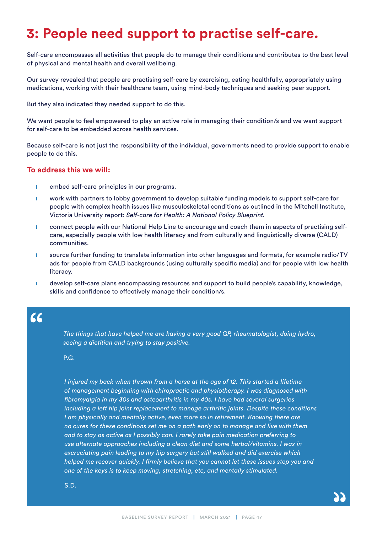## **3: People need support to practise self-care.**

Self-care encompasses all activities that people do to manage their conditions and contributes to the best level of physical and mental health and overall wellbeing.

Our survey revealed that people are practising self-care by exercising, eating healthfully, appropriately using medications, working with their healthcare team, using mind-body techniques and seeking peer support.

But they also indicated they needed support to do this.

We want people to feel empowered to play an active role in managing their condition/s and we want support for self-care to be embedded across health services.

Because self-care is not just the responsibility of the individual, governments need to provide support to enable people to do this.

#### **To address this we will:**

- **I** embed self-care principles in our programs.
- **I** work with partners to lobby government to develop suitable funding models to support self-care for people with complex health issues like musculoskeletal conditions as outlined in the Mitchell Institute, Victoria University report: *Self-care for Health: A National Policy Blueprint.*
- **I** connect people with our National Help Line to encourage and coach them in aspects of practising selfcare, especially people with low health literacy and from culturally and linguistically diverse (CALD) communities.
- **I** source further funding to translate information into other languages and formats, for example radio/TV ads for people from CALD backgrounds (using culturally specific media) and for people with low health literacy.
- **I** develop self-care plans encompassing resources and support to build people's capability, knowledge, skills and confidence to effectively manage their condition/s.

 $66$ 

*The things that have helped me are having a very good GP, rheumatologist, doing hydro, seeing a dietitian and trying to stay positive.*

P.G.

*I injured my back when thrown from a horse at the age of 12. This started a lifetime of management beginning with chiropractic and physiotherapy. I was diagnosed with fibromyalgia in my 30s and osteoarthritis in my 40s. I have had several surgeries including a left hip joint replacement to manage arthritic joints. Despite these conditions I am physically and mentally active, even more so in retirement. Knowing there are no cures for these conditions set me on a path early on to manage and live with them and to stay as active as I possibly can. I rarely take pain medication preferring to use alternate approaches including a clean diet and some herbal/vitamins. I was in excruciating pain leading to my hip surgery but still walked and did exercise which helped me recover quickly. I firmly believe that you cannot let these issues stop you and one of the keys is to keep moving, stretching, etc, and mentally stimulated.*

S.D.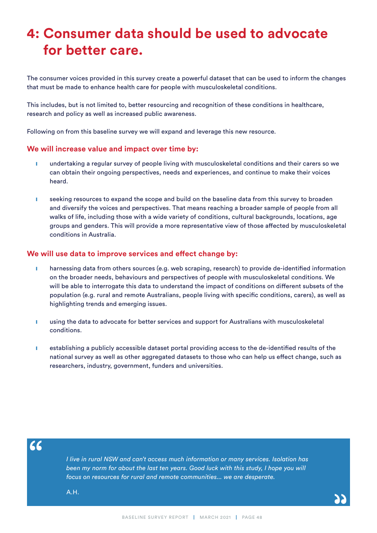# **4: Consumer data should be used to advocate for better care.**

The consumer voices provided in this survey create a powerful dataset that can be used to inform the changes that must be made to enhance health care for people with musculoskeletal conditions.

This includes, but is not limited to, better resourcing and recognition of these conditions in healthcare, research and policy as well as increased public awareness.

Following on from this baseline survey we will expand and leverage this new resource.

#### **We will increase value and impact over time by:**

- **I** undertaking a regular survey of people living with musculoskeletal conditions and their carers so we can obtain their ongoing perspectives, needs and experiences, and continue to make their voices heard.
- **I** seeking resources to expand the scope and build on the baseline data from this survey to broaden and diversify the voices and perspectives. That means reaching a broader sample of people from all walks of life, including those with a wide variety of conditions, cultural backgrounds, locations, age groups and genders. This will provide a more representative view of those affected by musculoskeletal conditions in Australia.

#### **We will use data to improve services and effect change by:**

- **I** harnessing data from others sources (e.g. web scraping, research) to provide de-identified information on the broader needs, behaviours and perspectives of people with musculoskeletal conditions. We will be able to interrogate this data to understand the impact of conditions on different subsets of the population (e.g. rural and remote Australians, people living with specific conditions, carers), as well as highlighting trends and emerging issues.
- **I** using the data to advocate for better services and support for Australians with musculoskeletal conditions.
- **I** establishing a publicly accessible dataset portal providing access to the de-identified results of the national survey as well as other aggregated datasets to those who can help us effect change, such as researchers, industry, government, funders and universities.

 $66$ 

*I live in rural NSW and can't access much information or many services. Isolation has been my norm for about the last ten years. Good luck with this study, I hope you will focus on resources for rural and remote communities... we are desperate.*

A.H.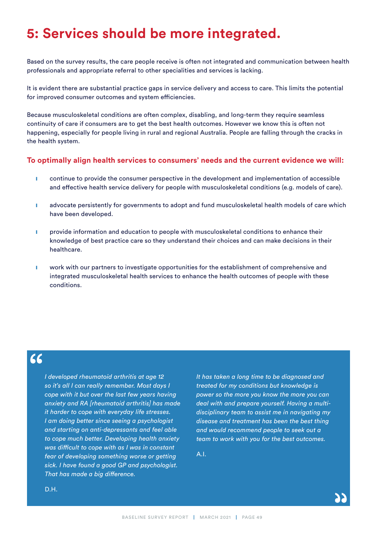## **5: Services should be more integrated.**

Based on the survey results, the care people receive is often not integrated and communication between health professionals and appropriate referral to other specialities and services is lacking.

It is evident there are substantial practice gaps in service delivery and access to care. This limits the potential for improved consumer outcomes and system efficiencies.

Because musculoskeletal conditions are often complex, disabling, and long-term they require seamless continuity of care if consumers are to get the best health outcomes. However we know this is often not happening, especially for people living in rural and regional Australia. People are falling through the cracks in the health system.

#### **To optimally align health services to consumers' needs and the current evidence we will:**

- **I** continue to provide the consumer perspective in the development and implementation of accessible and effective health service delivery for people with musculoskeletal conditions (e.g. models of care).
- **i** advocate persistently for governments to adopt and fund musculoskeletal health models of care which have been developed.
- **I** provide information and education to people with musculoskeletal conditions to enhance their knowledge of best practice care so they understand their choices and can make decisions in their healthcare.
- **I** work with our partners to investigate opportunities for the establishment of comprehensive and integrated musculoskeletal health services to enhance the health outcomes of people with these conditions.

### $66$

*I developed rheumatoid arthritis at age 12 so it's all I can really remember. Most days I cope with it but over the last few years having anxiety and RA [rheumatoid arthritis] has made it harder to cope with everyday life stresses. I am doing better since seeing a psychologist and starting on anti-depressants and feel able to cope much better. Developing health anxiety was difficult to cope with as I was in constant fear of developing something worse or getting sick. I have found a good GP and psychologist. That has made a big difference.*

*It has taken a long time to be diagnosed and treated for my conditions but knowledge is power so the more you know the more you can deal with and prepare yourself. Having a multidisciplinary team to assist me in navigating my disease and treatment has been the best thing and would recommend people to seek out a team to work with you for the best outcomes.*

A.I.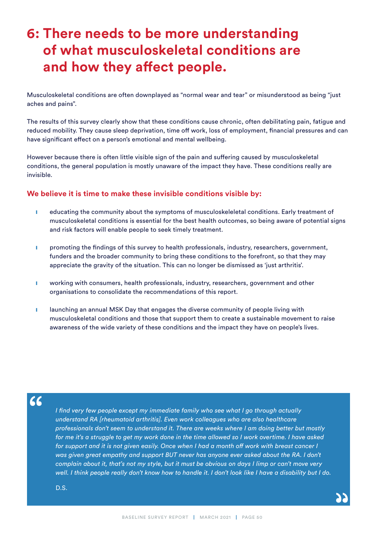# **6: There needs to be more understanding of what musculoskeletal conditions are and how they affect people.**

Musculoskeletal conditions are often downplayed as "normal wear and tear" or misunderstood as being "just aches and pains".

The results of this survey clearly show that these conditions cause chronic, often debilitating pain, fatigue and reduced mobility. They cause sleep deprivation, time off work, loss of employment, financial pressures and can have significant effect on a person's emotional and mental wellbeing.

However because there is often little visible sign of the pain and suffering caused by musculoskeletal conditions, the general population is mostly unaware of the impact they have. These conditions really are invisible.

#### **We believe it is time to make these invisible conditions visible by:**

- **I** educating the community about the symptoms of musculoskeleletal conditions. Early treatment of musculoskeletal conditions is essential for the best health outcomes, so being aware of potential signs and risk factors will enable people to seek timely treatment.
- **I** promoting the findings of this survey to health professionals, industry, researchers, government, funders and the broader community to bring these conditions to the forefront, so that they may appreciate the gravity of the situation. This can no longer be dismissed as 'just arthritis'.
- **I** working with consumers, health professionals, industry, researchers, government and other organisations to consolidate the recommendations of this report.
- **I** launching an annual MSK Day that engages the diverse community of people living with musculoskeletal conditions and those that support them to create a sustainable movement to raise awareness of the wide variety of these conditions and the impact they have on people's lives.

#### $66$

*I find very few people except my immediate family who see what I go through actually understand RA [rheumatoid arthritis]. Even work colleagues who are also healthcare professionals don't seem to understand it. There are weeks where I am doing better but mostly for me it's a struggle to get my work done in the time allowed so I work overtime. I have asked*  for support and it is not given easily. Once when I had a month off work with breast cancer I was given great empathy and support BUT never has anyone ever asked about the RA. I don't *complain about it, that's not my style, but it must be obvious on days I limp or can't move very well. I think people really don't know how to handle it. I don't look like I have a disability but I do.*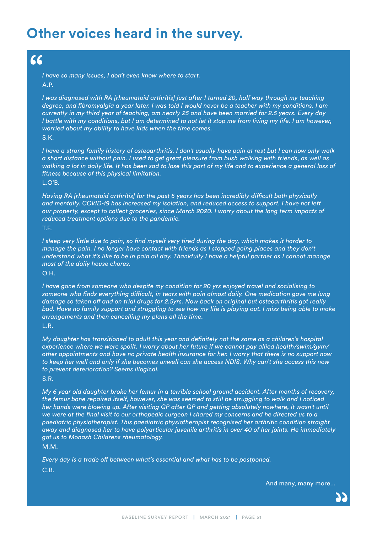## **Other voices heard in the survey.**

#### $\epsilon$

*I have so many issues, I don't even know where to start.* A.P.

*I was diagnosed with RA [rheumatoid arthritis] just after I turned 20, half way through my teaching degree, and fibromyalgia a year later. I was told I would never be a teacher with my conditions. I am currently in my third year of teaching, am nearly 25 and have been married for 2.5 years. Every day I battle with my conditions, but I am determined to not let it stop me from living my life. I am however, worried about my ability to have kids when the time comes.*

S.K.

*I have a strong family history of osteoarthritis. I don't usually have pain at rest but I can now only walk a short distance without pain. I used to get great pleasure from bush walking with friends, as well as walking a lot in daily life. It has been sad to lose this part of my life and to experience a general loss of fitness because of this physical limitation.*

L.O'B.

*Having RA [rheumatoid arthritis] for the past 5 years has been incredibly difficult both physically and mentally. COVID-19 has increased my isolation, and reduced access to support. I have not left our property, except to collect groceries, since March 2020. I worry about the long term impacts of reduced treatment options due to the pandemic.*

T.F.

*I sleep very little due to pain, so find myself very tired during the day, which makes it harder to manage the pain. I no longer have contact with friends as I stopped going places and they don't understand what it's like to be in pain all day. Thankfully I have a helpful partner as I cannot manage most of the daily house chores.*

O.H.

*I have gone from someone who despite my condition for 20 yrs enjoyed travel and socialising to someone who finds everything difficult, in tears with pain almost daily. One medication gave me lung damage so taken off and on trial drugs for 2.5yrs. Now back on original but osteoarthritis got really bad. Have no family support and struggling to see how my life is playing out. I miss being able to make arrangements and then cancelling my plans all the time.* L.R.

*My daughter has transitioned to adult this year and definitely not the same as a children's hospital experience where we were spoilt. I worry about her future if we cannot pay allied health/swim/gym/ other appointments and have no private health insurance for her. I worry that there is no support now to keep her well and only if she becomes unwell can she access NDIS. Why can't she access this now to prevent deterioration? Seems illogical.*

S.R.

*My 6 year old daughter broke her femur in a terrible school ground accident. After months of recovery, the femur bone repaired itself, however, she was seemed to still be struggling to walk and I noticed her hands were blowing up. After visiting GP after GP and getting absolutely nowhere, it wasn't until we were at the final visit to our orthopedic surgeon I shared my concerns and he directed us to a paediatric physiotherapist. This paediatric physiotherapist recognised her arthritic condition straight away and diagnosed her to have polyarticular juvenile arthritis in over 40 of her joints. He immediately got us to Monash Childrens rheumatology.*

M.M.

*Every day is a trade off between what's essential and what has to be postponed.*

C.B.

And many, many more...